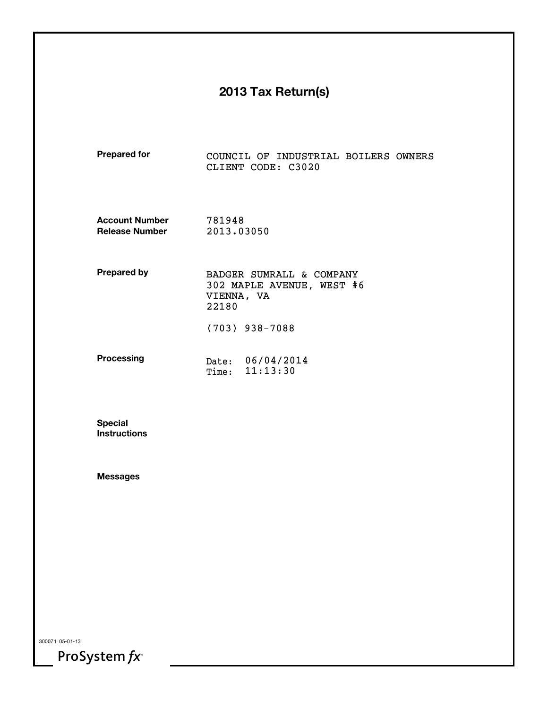# **2013 Tax Return(s)**

| <b>Prepared for</b>                            | COUNCIL OF INDUSTRIAL BOILERS OWNERS<br>CLIENT CODE: C3020                   |  |  |  |  |  |  |  |
|------------------------------------------------|------------------------------------------------------------------------------|--|--|--|--|--|--|--|
| <b>Account Number</b><br><b>Release Number</b> | 781948<br>2013.03050                                                         |  |  |  |  |  |  |  |
| <b>Prepared by</b>                             | BADGER SUMRALL & COMPANY<br>302 MAPLE AVENUE, WEST #6<br>VIENNA, VA<br>22180 |  |  |  |  |  |  |  |
|                                                | $(703)$ 938-7088                                                             |  |  |  |  |  |  |  |
| <b>Processing</b>                              | Date: 06/04/2014<br>Time: 11:13:30                                           |  |  |  |  |  |  |  |

**SpecialInstructions**

**Messages**

300071 05-01-13

ProSystem  $fx^*$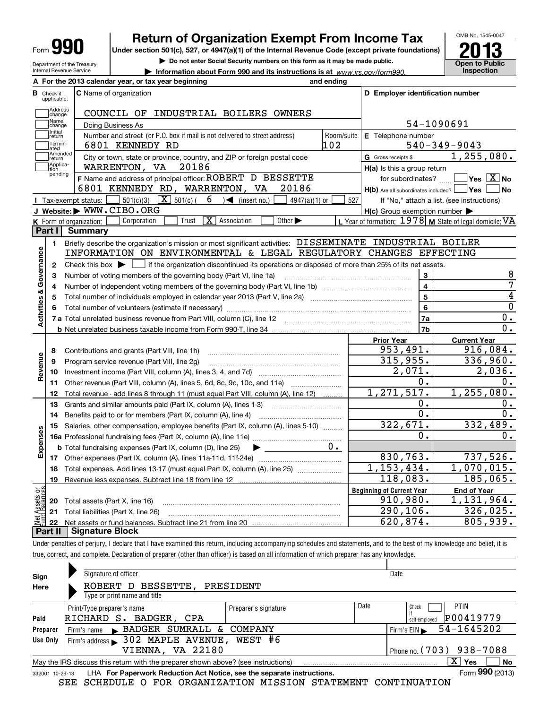| Ш<br>Form |
|-----------|
|-----------|

# **Return of Organization Exempt From Income Tax**

**Under section 501(c), 527, or 4947(a)(1) of the Internal Revenue Code (except private foundations) 2013**

Department of the Treasury Internal Revenue Service



**| Do not enter Social Security numbers on this form as it may be made public.**

**| Information about Form 990 and its instructions is at www.irs.gov/form990. This pection** 

|                         |                                  | A For the 2013 calendar year, or tax year beginning                                                                                                    | and ending |                                                     |                                                           |  |  |  |  |  |  |  |
|-------------------------|----------------------------------|--------------------------------------------------------------------------------------------------------------------------------------------------------|------------|-----------------------------------------------------|-----------------------------------------------------------|--|--|--|--|--|--|--|
|                         | <b>B</b> Check if<br>applicable: | <b>C</b> Name of organization                                                                                                                          |            | D Employer identification number                    |                                                           |  |  |  |  |  |  |  |
|                         | Address<br>change                | COUNCIL OF INDUSTRIAL BOILERS OWNERS                                                                                                                   |            |                                                     |                                                           |  |  |  |  |  |  |  |
|                         | Name<br>change                   | Doing Business As                                                                                                                                      |            | 54-1090691                                          |                                                           |  |  |  |  |  |  |  |
|                         | return                           | Initial<br>Number and street (or P.O. box if mail is not delivered to street address)<br>Room/suite<br><b>E</b> Telephone number                       |            |                                                     |                                                           |  |  |  |  |  |  |  |
|                         | Termin-<br>ated                  | 6801 KENNEDY RD                                                                                                                                        | 102        |                                                     | $540 - 349 - 9043$                                        |  |  |  |  |  |  |  |
|                         | Amended<br>return                | City or town, state or province, country, and ZIP or foreign postal code                                                                               |            | G Gross receipts \$                                 | 1, 255, 080.                                              |  |  |  |  |  |  |  |
|                         | Applica-<br>tion<br>pending      | WARRENTON, VA<br>20186                                                                                                                                 |            | H(a) Is this a group return                         |                                                           |  |  |  |  |  |  |  |
|                         |                                  | F Name and address of principal officer: ROBERT D BESSETTE                                                                                             |            | for subordinates?                                   | $\Box$ Yes $[\overline{\mathrm{X}}]$ No                   |  |  |  |  |  |  |  |
|                         |                                  | 6801 KENNEDY RD, WARRENTON, VA<br>20186                                                                                                                |            | $H(b)$ Are all subordinates included? $\Box$ Yes    | <b>No</b>                                                 |  |  |  |  |  |  |  |
|                         |                                  | $\boxed{\textbf{X}}$ 501(c) (<br>6<br>501(c)(3)<br>$\bigcup$ (insert no.)<br>  Tax-exempt status:<br>$4947(a)(1)$ or                                   | 527        |                                                     | If "No," attach a list. (see instructions)                |  |  |  |  |  |  |  |
|                         |                                  | J Website: WWW.CIBO.ORG                                                                                                                                |            | $H(c)$ Group exemption number $\blacktriangleright$ |                                                           |  |  |  |  |  |  |  |
|                         |                                  | $\vert$ X   Association<br>Other $\blacktriangleright$<br>Corporation<br>Trust<br>K Form of organization:                                              |            |                                                     | L Year of formation: $1978$ M State of legal domicile: VA |  |  |  |  |  |  |  |
|                         | Part I                           | <b>Summary</b>                                                                                                                                         |            |                                                     |                                                           |  |  |  |  |  |  |  |
|                         | 1.                               | Briefly describe the organization's mission or most significant activities: DISSEMINATE INDUSTRIAL BOILER                                              |            |                                                     |                                                           |  |  |  |  |  |  |  |
| Activities & Governance |                                  | INFORMATION ON ENVIRONMENTAL & LEGAL REGULATORY CHANGES EFFECTING                                                                                      |            |                                                     |                                                           |  |  |  |  |  |  |  |
|                         | $\mathbf{2}$                     | Check this box $\blacktriangleright$ $\blacksquare$ if the organization discontinued its operations or disposed of more than 25% of its net assets.    |            |                                                     |                                                           |  |  |  |  |  |  |  |
|                         | 3                                | Number of voting members of the governing body (Part VI, line 1a)                                                                                      |            | 3                                                   | 8                                                         |  |  |  |  |  |  |  |
|                         | 4                                |                                                                                                                                                        |            | $\overline{\mathbf{4}}$                             | 7                                                         |  |  |  |  |  |  |  |
|                         | 5                                |                                                                                                                                                        |            | 5                                                   | 4                                                         |  |  |  |  |  |  |  |
|                         |                                  |                                                                                                                                                        |            | 6                                                   | $\overline{0}$                                            |  |  |  |  |  |  |  |
|                         |                                  |                                                                                                                                                        |            | 7a                                                  | 0.<br>$\overline{0}$ .                                    |  |  |  |  |  |  |  |
|                         |                                  |                                                                                                                                                        |            | 7b                                                  |                                                           |  |  |  |  |  |  |  |
|                         |                                  |                                                                                                                                                        |            | <b>Prior Year</b><br>953,491.                       | <b>Current Year</b>                                       |  |  |  |  |  |  |  |
|                         | 8                                | Contributions and grants (Part VIII, line 1h)                                                                                                          |            | 315,955.                                            | 916,084.<br>336,960.                                      |  |  |  |  |  |  |  |
| Revenue                 | 9                                | Program service revenue (Part VIII, line 2g)                                                                                                           |            | $\overline{2}$ , 071.                               | 2,036.                                                    |  |  |  |  |  |  |  |
|                         |                                  |                                                                                                                                                        |            | 0.                                                  | 0.                                                        |  |  |  |  |  |  |  |
|                         | 11                               | Other revenue (Part VIII, column (A), lines 5, 6d, 8c, 9c, 10c, and 11e)                                                                               |            | 1, 271, 517.                                        | 1, 255, 080.                                              |  |  |  |  |  |  |  |
|                         | 12<br>13                         | Total revenue - add lines 8 through 11 (must equal Part VIII, column (A), line 12)<br>Grants and similar amounts paid (Part IX, column (A), lines 1-3) |            | Ο.                                                  | Ο.                                                        |  |  |  |  |  |  |  |
|                         | 14                               | Benefits paid to or for members (Part IX, column (A), line 4)                                                                                          |            | $\overline{0}$ .                                    | 0.                                                        |  |  |  |  |  |  |  |
|                         | 15                               | Salaries, other compensation, employee benefits (Part IX, column (A), lines 5-10)                                                                      |            | 322,671.                                            | 332, 489.                                                 |  |  |  |  |  |  |  |
| Expenses                |                                  |                                                                                                                                                        |            | Ο.                                                  | 0.                                                        |  |  |  |  |  |  |  |
|                         |                                  | <b>b</b> Total fundraising expenses (Part IX, column (D), line 25)                                                                                     | О.         |                                                     |                                                           |  |  |  |  |  |  |  |
|                         |                                  |                                                                                                                                                        |            | 830,763.                                            | 737,526.                                                  |  |  |  |  |  |  |  |
|                         | 18                               | Total expenses. Add lines 13-17 (must equal Part IX, column (A), line 25)                                                                              |            | 1,153,434.                                          | 1,070,015.                                                |  |  |  |  |  |  |  |
|                         | 19                               |                                                                                                                                                        |            | $\overline{1}18,083$ .                              | 185,065.                                                  |  |  |  |  |  |  |  |
| ទង្វ័                   |                                  |                                                                                                                                                        |            | <b>Beginning of Current Year</b>                    | End of Year                                               |  |  |  |  |  |  |  |
|                         | 20                               | Total assets (Part X, line 16)                                                                                                                         |            | 910,980.                                            | 1,131,964.                                                |  |  |  |  |  |  |  |
| Assets<br>1 Balanc      | 21                               | Total liabilities (Part X, line 26)                                                                                                                    |            | 290, 106.                                           | 326,025.                                                  |  |  |  |  |  |  |  |
|                         | 22                               |                                                                                                                                                        |            | 620,874.                                            | 805,939.                                                  |  |  |  |  |  |  |  |
|                         | Part II                          | <b>Signature Block</b>                                                                                                                                 |            |                                                     |                                                           |  |  |  |  |  |  |  |

Under penalties of perjury, I declare that I have examined this return, including accompanying schedules and statements, and to the best of my knowledge and belief, it is true, correct, and complete. Declaration of preparer (other than officer) is based on all information of which preparer has any knowledge.

| Sign            | Signature of officer                                                              |                      |      | Date                                           |
|-----------------|-----------------------------------------------------------------------------------|----------------------|------|------------------------------------------------|
| Here            | BESSETTE,<br>ROBERT D                                                             | PRESIDENT            |      |                                                |
|                 | Type or print name and title                                                      |                      |      |                                                |
|                 | Print/Type preparer's name                                                        | Preparer's signature | Date | <b>PTIN</b><br>Check                           |
| Paid            | RICHARD S.<br>BADGER, CPA                                                         |                      |      | P00419779<br>self-employed                     |
| Preparer        | Firm's name BADGER SUMRALL & COMPANY                                              |                      |      | 54-1645202<br>Firm's $EIN \blacktriangleright$ |
| Use Only        | Firm's address > 302 MAPLE AVENUE, WEST #6                                        |                      |      |                                                |
|                 | VIENNA, VA 22180                                                                  |                      |      | Phone no. (703) 938-7088                       |
|                 | May the IRS discuss this return with the preparer shown above? (see instructions) |                      |      | $\mathbf{X}$<br>No<br>Yes                      |
| 332001 10-29-13 | LHA For Paperwork Reduction Act Notice, see the separate instructions.            |                      |      | Form 990 (2013)                                |

SEE SCHEDULE O FOR ORGANIZATION MISSION STATEMENT CONTINUATION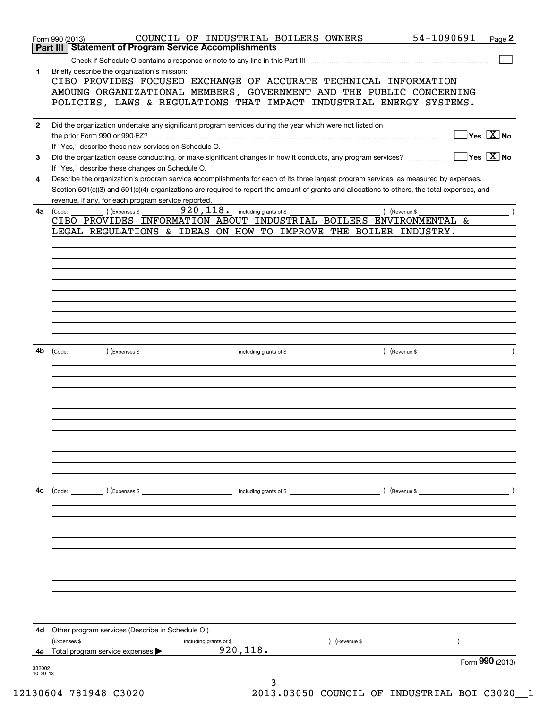|              | 54-1090691<br>COUNCIL OF INDUSTRIAL BOILERS OWNERS<br>Page 2<br>Form 990 (2013)<br>Part III   Statement of Program Service Accomplishments                                              |  |
|--------------|-----------------------------------------------------------------------------------------------------------------------------------------------------------------------------------------|--|
|              |                                                                                                                                                                                         |  |
| 1            | Briefly describe the organization's mission:                                                                                                                                            |  |
|              | CIBO PROVIDES FOCUSED EXCHANGE OF ACCURATE TECHNICAL INFORMATION                                                                                                                        |  |
|              | AMOUNG ORGANIZATIONAL MEMBERS, GOVERNMENT AND THE PUBLIC CONCERNING                                                                                                                     |  |
|              | POLICIES, LAWS & REGULATIONS THAT IMPACT INDUSTRIAL ENERGY SYSTEMS.                                                                                                                     |  |
|              |                                                                                                                                                                                         |  |
| $\mathbf{2}$ | Did the organization undertake any significant program services during the year which were not listed on                                                                                |  |
|              | $\overline{\ }$ Yes $\overline{\phantom{a}X}$ No<br>the prior Form 990 or 990-EZ?                                                                                                       |  |
|              | If "Yes," describe these new services on Schedule O.                                                                                                                                    |  |
| 3            | $\overline{\mathsf{Yes} \mathrel{\hspace{0.5pt}\mathsf{X}}}$ No<br>Did the organization cease conducting, or make significant changes in how it conducts, any program services?         |  |
| 4            | If "Yes," describe these changes on Schedule O.<br>Describe the organization's program service accomplishments for each of its three largest program services, as measured by expenses. |  |
|              | Section 501(c)(3) and 501(c)(4) organizations are required to report the amount of grants and allocations to others, the total expenses, and                                            |  |
|              | revenue, if any, for each program service reported.                                                                                                                                     |  |
| 4a           | 920, 118. including grants of \$<br>) (Revenue \$<br>) (Expenses \$<br>(Code:                                                                                                           |  |
|              | CIBO PROVIDES INFORMATION ABOUT INDUSTRIAL BOILERS ENVIRONMENTAL &                                                                                                                      |  |
|              | LEGAL REGULATIONS & IDEAS ON HOW TO IMPROVE THE BOILER INDUSTRY.                                                                                                                        |  |
|              |                                                                                                                                                                                         |  |
|              |                                                                                                                                                                                         |  |
|              |                                                                                                                                                                                         |  |
|              |                                                                                                                                                                                         |  |
|              |                                                                                                                                                                                         |  |
|              |                                                                                                                                                                                         |  |
|              |                                                                                                                                                                                         |  |
|              |                                                                                                                                                                                         |  |
|              |                                                                                                                                                                                         |  |
| 4b           | $\overline{\phantom{a}}$ and $\overline{\phantom{a}}$ and $\overline{\phantom{a}}$ and $\overline{\phantom{a}}$                                                                         |  |
|              |                                                                                                                                                                                         |  |
|              |                                                                                                                                                                                         |  |
|              |                                                                                                                                                                                         |  |
|              |                                                                                                                                                                                         |  |
|              |                                                                                                                                                                                         |  |
|              |                                                                                                                                                                                         |  |
|              |                                                                                                                                                                                         |  |
|              |                                                                                                                                                                                         |  |
|              |                                                                                                                                                                                         |  |
|              |                                                                                                                                                                                         |  |
|              |                                                                                                                                                                                         |  |
| 4c           | $\left(\text{Code:}\right)$ $\left(\text{Expenses $}\right)$<br>including grants of \$<br>) (Revenue \$                                                                                 |  |
|              |                                                                                                                                                                                         |  |
|              |                                                                                                                                                                                         |  |
|              |                                                                                                                                                                                         |  |
|              |                                                                                                                                                                                         |  |
|              |                                                                                                                                                                                         |  |
|              |                                                                                                                                                                                         |  |
|              |                                                                                                                                                                                         |  |
|              |                                                                                                                                                                                         |  |
|              |                                                                                                                                                                                         |  |
|              |                                                                                                                                                                                         |  |
|              |                                                                                                                                                                                         |  |
| 4d           | Other program services (Describe in Schedule O.)                                                                                                                                        |  |
|              | (Expenses \$<br>Revenue \$<br>including grants of \$                                                                                                                                    |  |
| 4е           | 920, 118.<br>Total program service expenses                                                                                                                                             |  |
| 332002       | Form 990 (2013)                                                                                                                                                                         |  |
| 10-29-13     |                                                                                                                                                                                         |  |
|              | 3                                                                                                                                                                                       |  |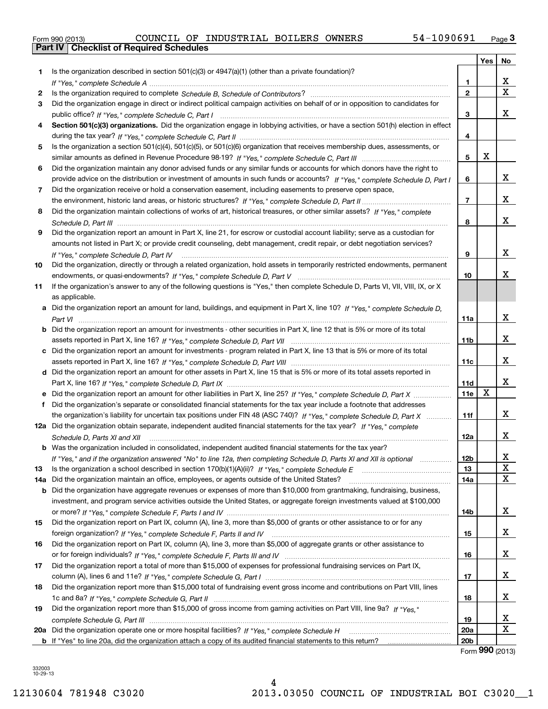| Form 990 (2013) |  |  |
|-----------------|--|--|

|     |                                                                                                                                      |                 | Yes | No                      |
|-----|--------------------------------------------------------------------------------------------------------------------------------------|-----------------|-----|-------------------------|
| 1.  | Is the organization described in section $501(c)(3)$ or $4947(a)(1)$ (other than a private foundation)?                              |                 |     |                         |
|     |                                                                                                                                      | 1               |     | х                       |
| 2   |                                                                                                                                      | $\overline{2}$  |     | $\overline{\mathbf{x}}$ |
| 3   | Did the organization engage in direct or indirect political campaign activities on behalf of or in opposition to candidates for      |                 |     |                         |
|     |                                                                                                                                      | 3               |     | х                       |
| 4   | Section 501(c)(3) organizations. Did the organization engage in lobbying activities, or have a section 501(h) election in effect     |                 |     |                         |
|     |                                                                                                                                      | 4               |     |                         |
| 5   | Is the organization a section 501(c)(4), 501(c)(5), or 501(c)(6) organization that receives membership dues, assessments, or         |                 |     |                         |
|     |                                                                                                                                      | 5               | X   |                         |
| 6   | Did the organization maintain any donor advised funds or any similar funds or accounts for which donors have the right to            |                 |     |                         |
|     | provide advice on the distribution or investment of amounts in such funds or accounts? If "Yes," complete Schedule D, Part I         | 6               |     | x                       |
| 7   | Did the organization receive or hold a conservation easement, including easements to preserve open space,                            |                 |     |                         |
|     |                                                                                                                                      | $\overline{7}$  |     | x                       |
| 8   | Did the organization maintain collections of works of art, historical treasures, or other similar assets? If "Yes," complete         |                 |     |                         |
|     |                                                                                                                                      | 8               |     | x                       |
| 9   | Did the organization report an amount in Part X, line 21, for escrow or custodial account liability; serve as a custodian for        |                 |     |                         |
|     | amounts not listed in Part X; or provide credit counseling, debt management, credit repair, or debt negotiation services?            |                 |     |                         |
|     | If "Yes," complete Schedule D, Part IV                                                                                               | 9               |     | x                       |
| 10  | Did the organization, directly or through a related organization, hold assets in temporarily restricted endowments, permanent        |                 |     |                         |
|     |                                                                                                                                      | 10              |     | х                       |
| 11  | If the organization's answer to any of the following questions is "Yes," then complete Schedule D, Parts VI, VIII, VIII, IX, or X    |                 |     |                         |
|     | as applicable.                                                                                                                       |                 |     |                         |
|     | a Did the organization report an amount for land, buildings, and equipment in Part X, line 10? If "Yes." complete Schedule D.        |                 |     |                         |
|     |                                                                                                                                      | 11a             |     | x                       |
|     | <b>b</b> Did the organization report an amount for investments - other securities in Part X, line 12 that is 5% or more of its total |                 |     |                         |
|     |                                                                                                                                      | 11 <sub>b</sub> |     | x                       |
|     | c Did the organization report an amount for investments - program related in Part X, line 13 that is 5% or more of its total         |                 |     |                         |
|     |                                                                                                                                      | 11c             |     | x                       |
|     | d Did the organization report an amount for other assets in Part X, line 15 that is 5% or more of its total assets reported in       |                 |     |                         |
|     |                                                                                                                                      | 11d             |     | x                       |
|     | e Did the organization report an amount for other liabilities in Part X, line 25? If "Yes," complete Schedule D, Part X              | 11e             | X   |                         |
| f   | Did the organization's separate or consolidated financial statements for the tax year include a footnote that addresses              |                 |     |                         |
|     | the organization's liability for uncertain tax positions under FIN 48 (ASC 740)? If "Yes," complete Schedule D, Part X               | 11f             |     | x                       |
|     | 12a Did the organization obtain separate, independent audited financial statements for the tax year? If "Yes," complete              |                 |     |                         |
|     | Schedule D, Parts XI and XII                                                                                                         | 12a             |     | x                       |
|     | <b>b</b> Was the organization included in consolidated, independent audited financial statements for the tax year?                   |                 |     |                         |
|     | If "Yes," and if the organization answered "No" to line 12a, then completing Schedule D, Parts XI and XII is optional                | 12D             |     | ᅀ                       |
| 13  |                                                                                                                                      | 13              |     | $\mathbf X$             |
| 14a | Did the organization maintain an office, employees, or agents outside of the United States?                                          | 14a             |     | $\mathbf X$             |
|     | <b>b</b> Did the organization have aggregate revenues or expenses of more than \$10,000 from grantmaking, fundraising, business,     |                 |     |                         |
|     | investment, and program service activities outside the United States, or aggregate foreign investments valued at \$100,000           |                 |     |                         |
|     |                                                                                                                                      | 14b             |     | x                       |
| 15  | Did the organization report on Part IX, column (A), line 3, more than \$5,000 of grants or other assistance to or for any            |                 |     |                         |
|     |                                                                                                                                      | 15              |     | х                       |
| 16  | Did the organization report on Part IX, column (A), line 3, more than \$5,000 of aggregate grants or other assistance to             |                 |     |                         |
|     |                                                                                                                                      | 16              |     | х                       |
| 17  | Did the organization report a total of more than \$15,000 of expenses for professional fundraising services on Part IX,              |                 |     |                         |
|     |                                                                                                                                      | 17              |     | X                       |
| 18  | Did the organization report more than \$15,000 total of fundraising event gross income and contributions on Part VIII, lines         |                 |     |                         |
|     |                                                                                                                                      | 18              |     | x                       |
| 19  | Did the organization report more than \$15,000 of gross income from gaming activities on Part VIII, line 9a? If "Yes."               |                 |     |                         |
|     |                                                                                                                                      | 19              |     | X                       |
|     |                                                                                                                                      | 20a             |     | $\mathbf X$             |
|     |                                                                                                                                      | 20 <sub>b</sub> |     |                         |

Form **990** (2013)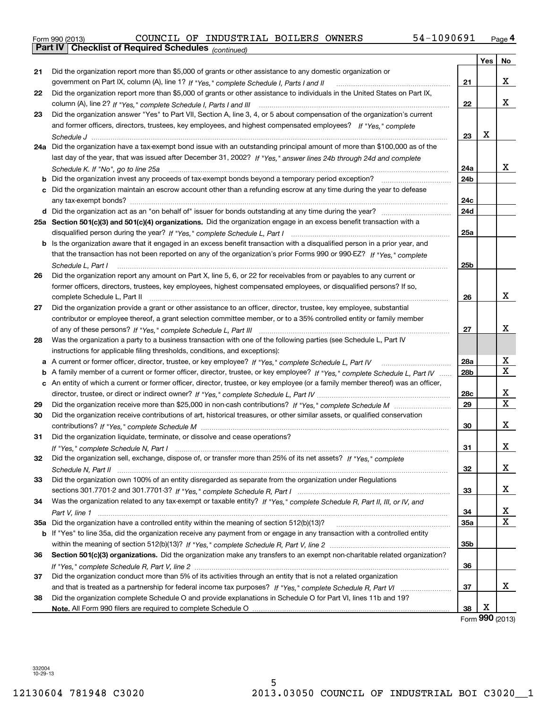# Form 990 (2013) COUNCIL OF INDUSTRIAL BOILERS OWNERS 54-1090691 <sub>Page</sub> 4<br>**Part IV | Checklist of Required Schedules** <sub>(continued)</sub>

|    | Parl IV  <br>Crieckist of Required Scriedules (continued)                                                                           |                 |     |    |
|----|-------------------------------------------------------------------------------------------------------------------------------------|-----------------|-----|----|
|    |                                                                                                                                     |                 | Yes | No |
| 21 | Did the organization report more than \$5,000 of grants or other assistance to any domestic organization or                         |                 |     |    |
|    | government on Part IX, column (A), line 1? If "Yes," complete Schedule I, Parts I and II                                            | 21              |     | x  |
| 22 | Did the organization report more than \$5,000 of grants or other assistance to individuals in the United States on Part IX,         |                 |     |    |
|    |                                                                                                                                     | 22              |     | x  |
| 23 | Did the organization answer "Yes" to Part VII, Section A, line 3, 4, or 5 about compensation of the organization's current          |                 |     |    |
|    | and former officers, directors, trustees, key employees, and highest compensated employees? If "Yes," complete                      |                 |     |    |
|    |                                                                                                                                     | 23              | x   |    |
|    | 24a Did the organization have a tax-exempt bond issue with an outstanding principal amount of more than \$100,000 as of the         |                 |     |    |
|    | last day of the year, that was issued after December 31, 2002? If "Yes," answer lines 24b through 24d and complete                  |                 |     |    |
|    |                                                                                                                                     | 24a             |     | X. |
|    | Schedule K. If "No", go to line 25a                                                                                                 | 24b             |     |    |
| b  |                                                                                                                                     |                 |     |    |
|    | c Did the organization maintain an escrow account other than a refunding escrow at any time during the year to defease              |                 |     |    |
|    |                                                                                                                                     | 24c             |     |    |
|    |                                                                                                                                     | 24d             |     |    |
|    | 25a Section 501(c)(3) and 501(c)(4) organizations. Did the organization engage in an excess benefit transaction with a              |                 |     |    |
|    |                                                                                                                                     | 25a             |     |    |
|    | <b>b</b> Is the organization aware that it engaged in an excess benefit transaction with a disqualified person in a prior year, and |                 |     |    |
|    | that the transaction has not been reported on any of the organization's prior Forms 990 or 990-EZ? If "Yes," complete               |                 |     |    |
|    | Schedule L, Part I                                                                                                                  | 25b             |     |    |
| 26 | Did the organization report any amount on Part X, line 5, 6, or 22 for receivables from or payables to any current or               |                 |     |    |
|    | former officers, directors, trustees, key employees, highest compensated employees, or disqualified persons? If so,                 |                 |     |    |
|    | complete Schedule L, Part II                                                                                                        | 26              |     | x  |
| 27 | Did the organization provide a grant or other assistance to an officer, director, trustee, key employee, substantial                |                 |     |    |
|    | contributor or employee thereof, a grant selection committee member, or to a 35% controlled entity or family member                 |                 |     |    |
|    |                                                                                                                                     | 27              |     | x  |
| 28 | Was the organization a party to a business transaction with one of the following parties (see Schedule L, Part IV                   |                 |     |    |
|    | instructions for applicable filing thresholds, conditions, and exceptions):                                                         |                 |     |    |
|    | a A current or former officer, director, trustee, or key employee? If "Yes," complete Schedule L, Part IV                           | 28a             |     | х  |
|    | b A family member of a current or former officer, director, trustee, or key employee? If "Yes," complete Schedule L, Part IV        | 28 <sub>b</sub> |     | X  |
|    | c An entity of which a current or former officer, director, trustee, or key employee (or a family member thereof) was an officer,   |                 |     |    |
|    |                                                                                                                                     | 28c             |     | х  |
| 29 |                                                                                                                                     | 29              |     | х  |
| 30 | Did the organization receive contributions of art, historical treasures, or other similar assets, or qualified conservation         |                 |     |    |
|    |                                                                                                                                     | 30              |     | x  |
| 31 | Did the organization liquidate, terminate, or dissolve and cease operations?                                                        |                 |     |    |
|    |                                                                                                                                     | 31              |     | х  |
|    |                                                                                                                                     |                 |     |    |
| 32 | Did the organization sell, exchange, dispose of, or transfer more than 25% of its net assets? If "Yes," complete                    |                 |     | x  |
|    |                                                                                                                                     | 32              |     |    |
| 33 | Did the organization own 100% of an entity disregarded as separate from the organization under Regulations                          |                 |     |    |
|    |                                                                                                                                     | 33              |     | x  |
| 34 | Was the organization related to any tax-exempt or taxable entity? If "Yes," complete Schedule R, Part II, III, or IV, and           |                 |     |    |
|    |                                                                                                                                     | 34              |     | x  |
|    | 35a Did the organization have a controlled entity within the meaning of section 512(b)(13)?                                         | <b>35a</b>      |     | X  |
|    | b If "Yes" to line 35a, did the organization receive any payment from or engage in any transaction with a controlled entity         |                 |     |    |
|    |                                                                                                                                     | 35b             |     |    |
| 36 | Section 501(c)(3) organizations. Did the organization make any transfers to an exempt non-charitable related organization?          |                 |     |    |
|    |                                                                                                                                     | 36              |     |    |
| 37 | Did the organization conduct more than 5% of its activities through an entity that is not a related organization                    |                 |     |    |
|    |                                                                                                                                     | 37              |     | x  |
| 38 | Did the organization complete Schedule O and provide explanations in Schedule O for Part VI, lines 11b and 19?                      |                 |     |    |
|    |                                                                                                                                     | 38              | х   |    |

Form (2013) **990**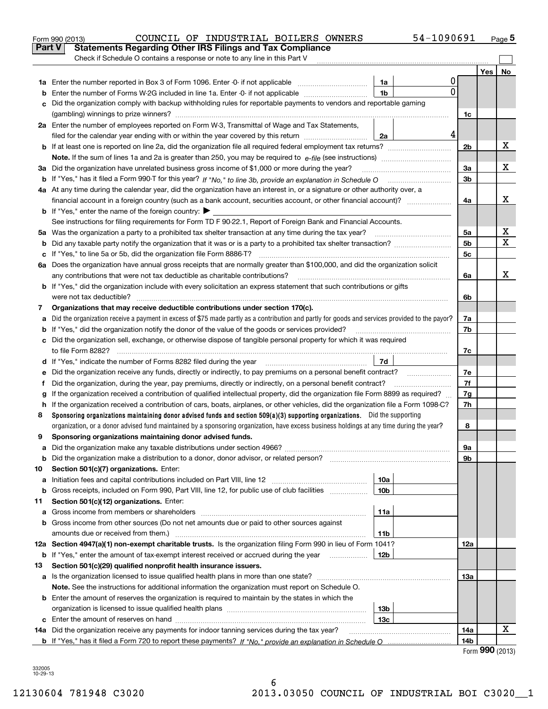|        | COUNCIL OF INDUSTRIAL BOILERS OWNERS<br>Form 990 (2013)                                                                                         |                 | 54-1090691 |                        |     | <u>Page</u> 5 |
|--------|-------------------------------------------------------------------------------------------------------------------------------------------------|-----------------|------------|------------------------|-----|---------------|
| Part V | <b>Statements Regarding Other IRS Filings and Tax Compliance</b>                                                                                |                 |            |                        |     |               |
|        | Check if Schedule O contains a response or note to any line in this Part V                                                                      |                 |            |                        |     |               |
|        |                                                                                                                                                 |                 |            |                        | Yes | No            |
|        |                                                                                                                                                 | 1a              | 0          |                        |     |               |
| b      | Enter the number of Forms W-2G included in line 1a. Enter -0- if not applicable                                                                 | 1 <sub>b</sub>  | 0          |                        |     |               |
| c      | Did the organization comply with backup withholding rules for reportable payments to vendors and reportable gaming                              |                 |            |                        |     |               |
|        |                                                                                                                                                 |                 |            | 1c                     |     |               |
|        | 2a Enter the number of employees reported on Form W-3, Transmittal of Wage and Tax Statements,                                                  |                 |            |                        |     |               |
|        | filed for the calendar year ending with or within the year covered by this return                                                               | 2a              | 4          |                        |     |               |
|        |                                                                                                                                                 |                 |            | 2 <sub>b</sub>         |     | х             |
|        |                                                                                                                                                 |                 |            |                        |     |               |
|        | 3a Did the organization have unrelated business gross income of \$1,000 or more during the year?                                                |                 |            | За                     |     | х             |
|        |                                                                                                                                                 |                 |            | 3 <sub>b</sub>         |     |               |
|        | 4a At any time during the calendar year, did the organization have an interest in, or a signature or other authority over, a                    |                 |            |                        |     |               |
|        |                                                                                                                                                 |                 |            | 4a                     |     | x             |
|        | <b>b</b> If "Yes," enter the name of the foreign country: $\blacktriangleright$                                                                 |                 |            |                        |     |               |
|        | See instructions for filing requirements for Form TD F 90-22.1, Report of Foreign Bank and Financial Accounts.                                  |                 |            |                        |     |               |
|        | 5a Was the organization a party to a prohibited tax shelter transaction at any time during the tax year?                                        |                 |            | 5a                     |     | x             |
| b      |                                                                                                                                                 |                 |            | 5 <sub>b</sub>         |     | X             |
| c      | If "Yes," to line 5a or 5b, did the organization file Form 8886-T?                                                                              |                 |            | 5c                     |     |               |
|        | 6a Does the organization have annual gross receipts that are normally greater than \$100,000, and did the organization solicit                  |                 |            |                        |     |               |
|        | any contributions that were not tax deductible as charitable contributions?                                                                     |                 |            | 6a                     |     | x             |
|        | <b>b</b> If "Yes," did the organization include with every solicitation an express statement that such contributions or gifts                   |                 |            |                        |     |               |
|        |                                                                                                                                                 |                 |            | 6b                     |     |               |
| 7      | Organizations that may receive deductible contributions under section 170(c).                                                                   |                 |            |                        |     |               |
| а      | Did the organization receive a payment in excess of \$75 made partly as a contribution and partly for goods and services provided to the payor? |                 |            | 7a                     |     |               |
| b      | If "Yes," did the organization notify the donor of the value of the goods or services provided?                                                 |                 |            | 7b                     |     |               |
|        | c Did the organization sell, exchange, or otherwise dispose of tangible personal property for which it was required                             |                 |            |                        |     |               |
|        |                                                                                                                                                 |                 |            | 7c                     |     |               |
|        |                                                                                                                                                 | 7d              |            |                        |     |               |
| е      |                                                                                                                                                 |                 |            | 7e                     |     |               |
| f      | Did the organization, during the year, pay premiums, directly or indirectly, on a personal benefit contract?                                    |                 |            | 7f                     |     |               |
| g      | If the organization received a contribution of qualified intellectual property, did the organization file Form 8899 as required?                |                 |            | 7g                     |     |               |
|        | h If the organization received a contribution of cars, boats, airplanes, or other vehicles, did the organization file a Form 1098-C?            |                 |            | 7h                     |     |               |
| 8      | Sponsoring organizations maintaining donor advised funds and section 509(a)(3) supporting organizations. Did the supporting                     |                 |            |                        |     |               |
|        | organization, or a donor advised fund maintained by a sponsoring organization, have excess business holdings at any time during the year?       |                 |            | 8                      |     |               |
|        | Sponsoring organizations maintaining donor advised funds.                                                                                       |                 |            |                        |     |               |
| а      |                                                                                                                                                 |                 |            | 9а                     |     |               |
| b      |                                                                                                                                                 |                 |            | 9b                     |     |               |
| 10     | Section 501(c)(7) organizations. Enter:                                                                                                         |                 |            |                        |     |               |
| а      | Initiation fees and capital contributions included on Part VIII, line 12 <i>manuarrouus</i> manuations of the lates                             | 10a             |            |                        |     |               |
| b      | Gross receipts, included on Form 990, Part VIII, line 12, for public use of club facilities <i>managery</i> (Gross)                             | 10 <sub>b</sub> |            |                        |     |               |
| 11     | Section 501(c)(12) organizations. Enter:                                                                                                        |                 |            |                        |     |               |
| а      | Gross income from members or shareholders                                                                                                       | 11a             |            |                        |     |               |
|        | b Gross income from other sources (Do not net amounts due or paid to other sources against                                                      |                 |            |                        |     |               |
|        |                                                                                                                                                 | 11b             |            |                        |     |               |
|        | 12a Section 4947(a)(1) non-exempt charitable trusts. Is the organization filing Form 990 in lieu of Form 1041?                                  |                 |            | 12a                    |     |               |
|        | <b>b</b> If "Yes," enter the amount of tax-exempt interest received or accrued during the year <i>manument</i>                                  | 12b             |            |                        |     |               |
| 13     | Section 501(c)(29) qualified nonprofit health insurance issuers.                                                                                |                 |            |                        |     |               |
| а      | Is the organization licensed to issue qualified health plans in more than one state?                                                            |                 |            | 13а                    |     |               |
|        | Note. See the instructions for additional information the organization must report on Schedule O.                                               |                 |            |                        |     |               |
|        | <b>b</b> Enter the amount of reserves the organization is required to maintain by the states in which the                                       |                 |            |                        |     |               |
|        |                                                                                                                                                 | 13b<br>13c      |            |                        |     |               |
|        | 14a Did the organization receive any payments for indoor tanning services during the tax year?                                                  |                 |            |                        |     | x             |
|        |                                                                                                                                                 |                 |            | 14a<br>14 <sub>b</sub> |     |               |
|        |                                                                                                                                                 |                 |            |                        |     |               |

Form **990** (2013)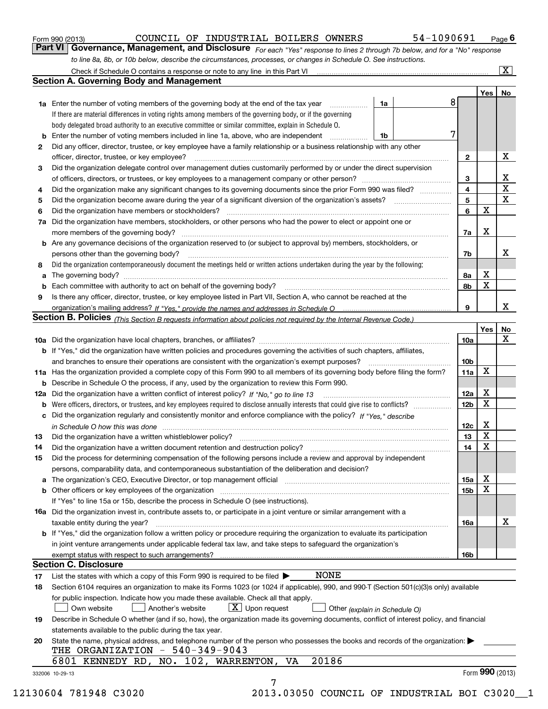|  | Form 990 (2013) |
|--|-----------------|
|  |                 |

*For each "Yes" response to lines 2 through 7b below, and for a "No" response to line 8a, 8b, or 10b below, describe the circumstances, processes, or changes in Schedule O. See instructions.* Form 990 (2013) Page **6Part VI Governance, Management, and Disclosure** 

|    |                                                                                                                                                                               |    |   |                 | Yes   No        |             |
|----|-------------------------------------------------------------------------------------------------------------------------------------------------------------------------------|----|---|-----------------|-----------------|-------------|
|    | <b>1a</b> Enter the number of voting members of the governing body at the end of the tax year                                                                                 | 1a | 8 |                 |                 |             |
|    | If there are material differences in voting rights among members of the governing body, or if the governing                                                                   |    |   |                 |                 |             |
|    | body delegated broad authority to an executive committee or similar committee, explain in Schedule O.                                                                         |    |   |                 |                 |             |
|    | <b>b</b> Enter the number of voting members included in line 1a, above, who are independent <i>manumum</i>                                                                    | 1b | 7 |                 |                 |             |
| 2  | Did any officer, director, trustee, or key employee have a family relationship or a business relationship with any other                                                      |    |   |                 |                 |             |
|    | officer, director, trustee, or key employee?                                                                                                                                  |    |   | $\mathbf{2}$    |                 | X           |
| 3  | Did the organization delegate control over management duties customarily performed by or under the direct supervision                                                         |    |   |                 |                 |             |
|    |                                                                                                                                                                               |    |   | 3               |                 | X           |
| 4  | Did the organization make any significant changes to its governing documents since the prior Form 990 was filed?                                                              |    |   | $\overline{4}$  |                 | $\mathbf X$ |
| 5  |                                                                                                                                                                               |    |   | 5               |                 | X           |
| 6  |                                                                                                                                                                               |    |   | 6               | $\mathbf X$     |             |
| 7a | Did the organization have members, stockholders, or other persons who had the power to elect or appoint one or                                                                |    |   |                 |                 |             |
|    |                                                                                                                                                                               |    |   | 7a              | Х               |             |
|    | <b>b</b> Are any governance decisions of the organization reserved to (or subject to approval by) members, stockholders, or                                                   |    |   |                 |                 |             |
|    | persons other than the governing body?                                                                                                                                        |    |   | 7b              |                 | х           |
| 8  | Did the organization contemporaneously document the meetings held or written actions undertaken during the year by the following:                                             |    |   |                 |                 |             |
| a  |                                                                                                                                                                               |    |   | 8a              | X               |             |
|    |                                                                                                                                                                               |    |   | 8b              | X               |             |
| 9  | Is there any officer, director, trustee, or key employee listed in Part VII, Section A, who cannot be reached at the                                                          |    |   |                 |                 |             |
|    |                                                                                                                                                                               |    |   | 9               |                 | x           |
|    | Section B. Policies (This Section B requests information about policies not required by the Internal Revenue Code.)                                                           |    |   |                 |                 |             |
|    |                                                                                                                                                                               |    |   |                 | Yes             | No          |
|    |                                                                                                                                                                               |    |   | 10a             |                 | X           |
|    | <b>b</b> If "Yes," did the organization have written policies and procedures governing the activities of such chapters, affiliates,                                           |    |   |                 |                 |             |
|    |                                                                                                                                                                               |    |   | 10 <sub>b</sub> |                 |             |
|    | 11a Has the organization provided a complete copy of this Form 990 to all members of its governing body before filing the form?                                               |    |   | 11a             | X               |             |
|    | <b>b</b> Describe in Schedule O the process, if any, used by the organization to review this Form 990.                                                                        |    |   |                 |                 |             |
|    |                                                                                                                                                                               |    |   | 12a             | X               |             |
| b  |                                                                                                                                                                               |    |   | 12 <sub>b</sub> | X               |             |
|    | c Did the organization regularly and consistently monitor and enforce compliance with the policy? If "Yes." describe                                                          |    |   |                 |                 |             |
|    | in Schedule O how this was done manufactured and continuum control of the Schedule O how this was done manufactured and continuum control of the Schedule O how this was done |    |   | 12c             | X               |             |
| 13 |                                                                                                                                                                               |    |   | 13              | X               |             |
| 14 | Did the organization have a written document retention and destruction policy? manufactured and the organization have a written document retention and destruction policy?    |    |   | 14              | X               |             |
| 15 | Did the process for determining compensation of the following persons include a review and approval by independent                                                            |    |   |                 |                 |             |
|    | persons, comparability data, and contemporaneous substantiation of the deliberation and decision?                                                                             |    |   |                 |                 |             |
|    |                                                                                                                                                                               |    |   | 15a             | X               |             |
|    | <b>b</b> Other officers or key employees of the organization                                                                                                                  |    |   | 15 <sub>b</sub> | X               |             |
|    |                                                                                                                                                                               |    |   |                 |                 |             |
|    | If "Yes" to line 15a or 15b, describe the process in Schedule O (see instructions).                                                                                           |    |   |                 |                 |             |
|    | <b>16a</b> Did the organization invest in, contribute assets to, or participate in a joint venture or similar arrangement with a                                              |    |   |                 |                 | X           |
|    | taxable entity during the year?                                                                                                                                               |    |   | 16a             |                 |             |
|    | b If "Yes," did the organization follow a written policy or procedure requiring the organization to evaluate its participation                                                |    |   |                 |                 |             |
|    | in joint venture arrangements under applicable federal tax law, and take steps to safequard the organization's                                                                |    |   |                 |                 |             |
|    | exempt status with respect to such arrangements?<br><b>Section C. Disclosure</b>                                                                                              |    |   | 16 <sub>b</sub> |                 |             |
|    | <b>NONE</b>                                                                                                                                                                   |    |   |                 |                 |             |
| 17 | List the states with which a copy of this Form 990 is required to be filed $\blacktriangleright$                                                                              |    |   |                 |                 |             |
| 18 | Section 6104 requires an organization to make its Forms 1023 (or 1024 if applicable), 990, and 990-T (Section 501(c)(3)s only) available                                      |    |   |                 |                 |             |
|    | for public inspection. Indicate how you made these available. Check all that apply.                                                                                           |    |   |                 |                 |             |
|    | $X$ Upon request<br>Another's website<br>Own website<br>Other (explain in Schedule O)                                                                                         |    |   |                 |                 |             |
| 19 | Describe in Schedule O whether (and if so, how), the organization made its governing documents, conflict of interest policy, and financial                                    |    |   |                 |                 |             |
|    | statements available to the public during the tax year.                                                                                                                       |    |   |                 |                 |             |
| 20 | State the name, physical address, and telephone number of the person who possesses the books and records of the organization:                                                 |    |   |                 |                 |             |
|    | THE ORGANIZATION - 540-349-9043                                                                                                                                               |    |   |                 |                 |             |
|    | 20186<br>6801 KENNEDY RD, NO. 102, WARRENTON, VA                                                                                                                              |    |   |                 |                 |             |
|    | 332006 10-29-13                                                                                                                                                               |    |   |                 | Form 990 (2013) |             |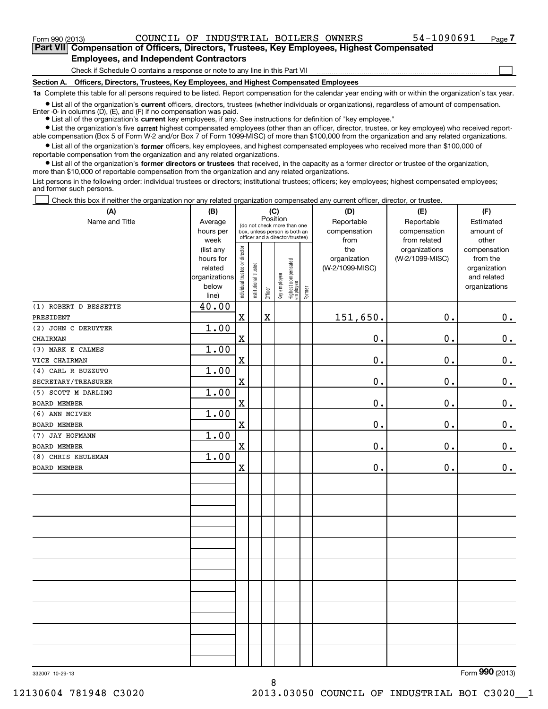$\mathcal{L}^{\text{max}}$ 

**7Part VII Compensation of Officers, Directors, Trustees, Key Employees, Highest Compensated Employees, and Independent Contractors**

Check if Schedule O contains a response or note to any line in this Part VII

**Section A. Officers, Directors, Trustees, Key Employees, and Highest Compensated Employees**

**1a**  Complete this table for all persons required to be listed. Report compensation for the calendar year ending with or within the organization's tax year.

**•** List all of the organization's current officers, directors, trustees (whether individuals or organizations), regardless of amount of compensation. Enter -0- in columns  $(D)$ ,  $(E)$ , and  $(F)$  if no compensation was paid.

● List all of the organization's **current** key employees, if any. See instructions for definition of "key employee."

**•** List the organization's five current highest compensated employees (other than an officer, director, trustee, or key employee) who received reportable compensation (Box 5 of Form W-2 and/or Box 7 of Form 1099-MISC) of more than \$100,000 from the organization and any related organizations.

 $\bullet$  List all of the organization's **former** officers, key employees, and highest compensated employees who received more than \$100,000 of reportable compensation from the organization and any related organizations.

**•** List all of the organization's former directors or trustees that received, in the capacity as a former director or trustee of the organization, more than \$10,000 of reportable compensation from the organization and any related organizations.

List persons in the following order: individual trustees or directors; institutional trustees; officers; key employees; highest compensated employees; and former such persons.

Check this box if neither the organization nor any related organization compensated any current officer, director, or trustee.  $\mathcal{L}^{\text{max}}$ 

| Name and Title<br>Reportable<br>Reportable<br>Average<br>Estimated<br>(do not check more than one<br>compensation<br>amount of<br>hours per<br>compensation<br>box, unless person is both an<br>officer and a director/trustee)<br>week<br>from<br>from related<br>other<br>Individual trustee or director<br>(list any<br>the<br>organizations<br>compensation<br>hours for<br>organization<br>(W-2/1099-MISC)<br>from the<br>Highest compensated<br> employee<br>Institutional trustee<br>(W-2/1099-MISC)<br>related<br>organization<br>Key employee<br>organizations<br>and related<br>below<br>organizations<br>Former<br>Officer<br>line)<br>40.00<br>(1) ROBERT D BESSETTE<br>$\mathbf x$<br>$\rm X$<br>151,650.<br>0.<br>0.<br>PRESIDENT<br>1.00<br>(2) JOHN C DERUYTER<br>$\rm X$<br>$\mathbf 0$ .<br>0.<br>$0_{.}$<br>CHAIRMAN<br>1.00<br>(3) MARK E CALMES<br>$\mathbf 0$ .<br>X<br>0.<br>$\mathbf 0$ .<br>VICE CHAIRMAN<br>1.00<br>(4) CARL R BUZZUTO<br>X<br>0.<br>0.<br>$\mathbf 0$ .<br>SECRETARY/TREASURER<br>1.00<br>(5) SCOTT M DARLING<br>0.<br>0.<br>$0_{\cdot}$<br>$\mathbf X$<br>BOARD MEMBER<br>1.00<br>(6) ANN MCIVER<br>0.<br>$0$ .<br>$\mathbf 0$ .<br>X<br>BOARD MEMBER<br>1.00<br>(7) JAY HOFMANN<br>$\rm X$<br>0.<br>0.<br>0.<br><b>BOARD MEMBER</b><br>1.00<br>(8) CHRIS KEULEMAN<br>0.<br>0.<br>X<br>0.<br>BOARD MEMBER | (A) | (B) | (C)      |  |  |  | (D) | (E) | (F) |  |
|-------------------------------------------------------------------------------------------------------------------------------------------------------------------------------------------------------------------------------------------------------------------------------------------------------------------------------------------------------------------------------------------------------------------------------------------------------------------------------------------------------------------------------------------------------------------------------------------------------------------------------------------------------------------------------------------------------------------------------------------------------------------------------------------------------------------------------------------------------------------------------------------------------------------------------------------------------------------------------------------------------------------------------------------------------------------------------------------------------------------------------------------------------------------------------------------------------------------------------------------------------------------------------------------------------------------------------------------------------|-----|-----|----------|--|--|--|-----|-----|-----|--|
|                                                                                                                                                                                                                                                                                                                                                                                                                                                                                                                                                                                                                                                                                                                                                                                                                                                                                                                                                                                                                                                                                                                                                                                                                                                                                                                                                       |     |     | Position |  |  |  |     |     |     |  |
|                                                                                                                                                                                                                                                                                                                                                                                                                                                                                                                                                                                                                                                                                                                                                                                                                                                                                                                                                                                                                                                                                                                                                                                                                                                                                                                                                       |     |     |          |  |  |  |     |     |     |  |
|                                                                                                                                                                                                                                                                                                                                                                                                                                                                                                                                                                                                                                                                                                                                                                                                                                                                                                                                                                                                                                                                                                                                                                                                                                                                                                                                                       |     |     |          |  |  |  |     |     |     |  |
|                                                                                                                                                                                                                                                                                                                                                                                                                                                                                                                                                                                                                                                                                                                                                                                                                                                                                                                                                                                                                                                                                                                                                                                                                                                                                                                                                       |     |     |          |  |  |  |     |     |     |  |
|                                                                                                                                                                                                                                                                                                                                                                                                                                                                                                                                                                                                                                                                                                                                                                                                                                                                                                                                                                                                                                                                                                                                                                                                                                                                                                                                                       |     |     |          |  |  |  |     |     |     |  |
|                                                                                                                                                                                                                                                                                                                                                                                                                                                                                                                                                                                                                                                                                                                                                                                                                                                                                                                                                                                                                                                                                                                                                                                                                                                                                                                                                       |     |     |          |  |  |  |     |     |     |  |
|                                                                                                                                                                                                                                                                                                                                                                                                                                                                                                                                                                                                                                                                                                                                                                                                                                                                                                                                                                                                                                                                                                                                                                                                                                                                                                                                                       |     |     |          |  |  |  |     |     |     |  |
|                                                                                                                                                                                                                                                                                                                                                                                                                                                                                                                                                                                                                                                                                                                                                                                                                                                                                                                                                                                                                                                                                                                                                                                                                                                                                                                                                       |     |     |          |  |  |  |     |     |     |  |
|                                                                                                                                                                                                                                                                                                                                                                                                                                                                                                                                                                                                                                                                                                                                                                                                                                                                                                                                                                                                                                                                                                                                                                                                                                                                                                                                                       |     |     |          |  |  |  |     |     |     |  |
|                                                                                                                                                                                                                                                                                                                                                                                                                                                                                                                                                                                                                                                                                                                                                                                                                                                                                                                                                                                                                                                                                                                                                                                                                                                                                                                                                       |     |     |          |  |  |  |     |     |     |  |
|                                                                                                                                                                                                                                                                                                                                                                                                                                                                                                                                                                                                                                                                                                                                                                                                                                                                                                                                                                                                                                                                                                                                                                                                                                                                                                                                                       |     |     |          |  |  |  |     |     |     |  |
|                                                                                                                                                                                                                                                                                                                                                                                                                                                                                                                                                                                                                                                                                                                                                                                                                                                                                                                                                                                                                                                                                                                                                                                                                                                                                                                                                       |     |     |          |  |  |  |     |     |     |  |
|                                                                                                                                                                                                                                                                                                                                                                                                                                                                                                                                                                                                                                                                                                                                                                                                                                                                                                                                                                                                                                                                                                                                                                                                                                                                                                                                                       |     |     |          |  |  |  |     |     |     |  |
|                                                                                                                                                                                                                                                                                                                                                                                                                                                                                                                                                                                                                                                                                                                                                                                                                                                                                                                                                                                                                                                                                                                                                                                                                                                                                                                                                       |     |     |          |  |  |  |     |     |     |  |
|                                                                                                                                                                                                                                                                                                                                                                                                                                                                                                                                                                                                                                                                                                                                                                                                                                                                                                                                                                                                                                                                                                                                                                                                                                                                                                                                                       |     |     |          |  |  |  |     |     |     |  |
|                                                                                                                                                                                                                                                                                                                                                                                                                                                                                                                                                                                                                                                                                                                                                                                                                                                                                                                                                                                                                                                                                                                                                                                                                                                                                                                                                       |     |     |          |  |  |  |     |     |     |  |
|                                                                                                                                                                                                                                                                                                                                                                                                                                                                                                                                                                                                                                                                                                                                                                                                                                                                                                                                                                                                                                                                                                                                                                                                                                                                                                                                                       |     |     |          |  |  |  |     |     |     |  |
|                                                                                                                                                                                                                                                                                                                                                                                                                                                                                                                                                                                                                                                                                                                                                                                                                                                                                                                                                                                                                                                                                                                                                                                                                                                                                                                                                       |     |     |          |  |  |  |     |     |     |  |
|                                                                                                                                                                                                                                                                                                                                                                                                                                                                                                                                                                                                                                                                                                                                                                                                                                                                                                                                                                                                                                                                                                                                                                                                                                                                                                                                                       |     |     |          |  |  |  |     |     |     |  |
|                                                                                                                                                                                                                                                                                                                                                                                                                                                                                                                                                                                                                                                                                                                                                                                                                                                                                                                                                                                                                                                                                                                                                                                                                                                                                                                                                       |     |     |          |  |  |  |     |     |     |  |
|                                                                                                                                                                                                                                                                                                                                                                                                                                                                                                                                                                                                                                                                                                                                                                                                                                                                                                                                                                                                                                                                                                                                                                                                                                                                                                                                                       |     |     |          |  |  |  |     |     |     |  |
|                                                                                                                                                                                                                                                                                                                                                                                                                                                                                                                                                                                                                                                                                                                                                                                                                                                                                                                                                                                                                                                                                                                                                                                                                                                                                                                                                       |     |     |          |  |  |  |     |     |     |  |
|                                                                                                                                                                                                                                                                                                                                                                                                                                                                                                                                                                                                                                                                                                                                                                                                                                                                                                                                                                                                                                                                                                                                                                                                                                                                                                                                                       |     |     |          |  |  |  |     |     |     |  |
|                                                                                                                                                                                                                                                                                                                                                                                                                                                                                                                                                                                                                                                                                                                                                                                                                                                                                                                                                                                                                                                                                                                                                                                                                                                                                                                                                       |     |     |          |  |  |  |     |     |     |  |
|                                                                                                                                                                                                                                                                                                                                                                                                                                                                                                                                                                                                                                                                                                                                                                                                                                                                                                                                                                                                                                                                                                                                                                                                                                                                                                                                                       |     |     |          |  |  |  |     |     |     |  |
|                                                                                                                                                                                                                                                                                                                                                                                                                                                                                                                                                                                                                                                                                                                                                                                                                                                                                                                                                                                                                                                                                                                                                                                                                                                                                                                                                       |     |     |          |  |  |  |     |     |     |  |
|                                                                                                                                                                                                                                                                                                                                                                                                                                                                                                                                                                                                                                                                                                                                                                                                                                                                                                                                                                                                                                                                                                                                                                                                                                                                                                                                                       |     |     |          |  |  |  |     |     |     |  |
|                                                                                                                                                                                                                                                                                                                                                                                                                                                                                                                                                                                                                                                                                                                                                                                                                                                                                                                                                                                                                                                                                                                                                                                                                                                                                                                                                       |     |     |          |  |  |  |     |     |     |  |
|                                                                                                                                                                                                                                                                                                                                                                                                                                                                                                                                                                                                                                                                                                                                                                                                                                                                                                                                                                                                                                                                                                                                                                                                                                                                                                                                                       |     |     |          |  |  |  |     |     |     |  |
|                                                                                                                                                                                                                                                                                                                                                                                                                                                                                                                                                                                                                                                                                                                                                                                                                                                                                                                                                                                                                                                                                                                                                                                                                                                                                                                                                       |     |     |          |  |  |  |     |     |     |  |
|                                                                                                                                                                                                                                                                                                                                                                                                                                                                                                                                                                                                                                                                                                                                                                                                                                                                                                                                                                                                                                                                                                                                                                                                                                                                                                                                                       |     |     |          |  |  |  |     |     |     |  |
|                                                                                                                                                                                                                                                                                                                                                                                                                                                                                                                                                                                                                                                                                                                                                                                                                                                                                                                                                                                                                                                                                                                                                                                                                                                                                                                                                       |     |     |          |  |  |  |     |     |     |  |
|                                                                                                                                                                                                                                                                                                                                                                                                                                                                                                                                                                                                                                                                                                                                                                                                                                                                                                                                                                                                                                                                                                                                                                                                                                                                                                                                                       |     |     |          |  |  |  |     |     |     |  |
|                                                                                                                                                                                                                                                                                                                                                                                                                                                                                                                                                                                                                                                                                                                                                                                                                                                                                                                                                                                                                                                                                                                                                                                                                                                                                                                                                       |     |     |          |  |  |  |     |     |     |  |
|                                                                                                                                                                                                                                                                                                                                                                                                                                                                                                                                                                                                                                                                                                                                                                                                                                                                                                                                                                                                                                                                                                                                                                                                                                                                                                                                                       |     |     |          |  |  |  |     |     |     |  |
|                                                                                                                                                                                                                                                                                                                                                                                                                                                                                                                                                                                                                                                                                                                                                                                                                                                                                                                                                                                                                                                                                                                                                                                                                                                                                                                                                       |     |     |          |  |  |  |     |     |     |  |
|                                                                                                                                                                                                                                                                                                                                                                                                                                                                                                                                                                                                                                                                                                                                                                                                                                                                                                                                                                                                                                                                                                                                                                                                                                                                                                                                                       |     |     |          |  |  |  |     |     |     |  |
|                                                                                                                                                                                                                                                                                                                                                                                                                                                                                                                                                                                                                                                                                                                                                                                                                                                                                                                                                                                                                                                                                                                                                                                                                                                                                                                                                       |     |     |          |  |  |  |     |     |     |  |
|                                                                                                                                                                                                                                                                                                                                                                                                                                                                                                                                                                                                                                                                                                                                                                                                                                                                                                                                                                                                                                                                                                                                                                                                                                                                                                                                                       |     |     |          |  |  |  |     |     |     |  |
|                                                                                                                                                                                                                                                                                                                                                                                                                                                                                                                                                                                                                                                                                                                                                                                                                                                                                                                                                                                                                                                                                                                                                                                                                                                                                                                                                       |     |     |          |  |  |  |     |     |     |  |

8

332007 10-29-13

Form (2013) **990**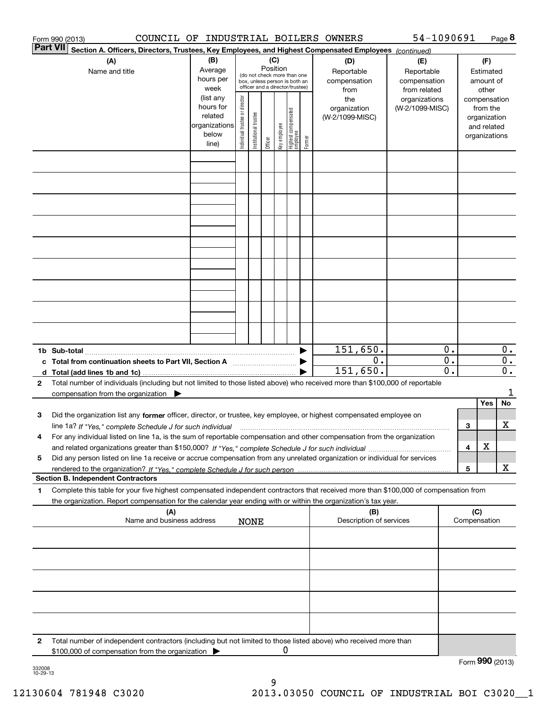|                 | COUNCIL OF INDUSTRIAL BOILERS OWNERS<br>Form 990 (2013)                                                                                         |                          |                                |                       |          |              |                                  |        |                         | 54-1090691      |                  |     |               | Page 8           |
|-----------------|-------------------------------------------------------------------------------------------------------------------------------------------------|--------------------------|--------------------------------|-----------------------|----------|--------------|----------------------------------|--------|-------------------------|-----------------|------------------|-----|---------------|------------------|
| <b>Part VII</b> | Section A. Officers, Directors, Trustees, Key Employees, and Highest Compensated Employees (continued)                                          |                          |                                |                       |          |              |                                  |        |                         |                 |                  |     |               |                  |
|                 | (A)                                                                                                                                             | (B)                      |                                |                       | (C)      |              |                                  |        | (D)                     | (E)             |                  |     | (F)           |                  |
|                 | Name and title                                                                                                                                  | Average                  |                                |                       | Position |              | (do not check more than one      |        | Reportable              | Reportable      |                  |     | Estimated     |                  |
|                 |                                                                                                                                                 | hours per                |                                |                       |          |              | box, unless person is both an    |        | compensation            | compensation    |                  |     | amount of     |                  |
|                 |                                                                                                                                                 | week                     |                                |                       |          |              | officer and a director/trustee)  |        | from                    | from related    |                  |     | other         |                  |
|                 |                                                                                                                                                 | (list any                |                                |                       |          |              |                                  |        | the                     | organizations   |                  |     | compensation  |                  |
|                 |                                                                                                                                                 | hours for                |                                |                       |          |              |                                  |        | organization            | (W-2/1099-MISC) |                  |     | from the      |                  |
|                 |                                                                                                                                                 | related<br>organizations |                                |                       |          |              |                                  |        | (W-2/1099-MISC)         |                 |                  |     | organization  |                  |
|                 |                                                                                                                                                 | below                    |                                |                       |          |              |                                  |        |                         |                 |                  |     | and related   |                  |
|                 |                                                                                                                                                 | line)                    | Individual trustee or director | Institutional trustee | Officer  | Key employee | Highest compensated<br> employee | Former |                         |                 |                  |     | organizations |                  |
|                 |                                                                                                                                                 |                          |                                |                       |          |              |                                  |        |                         |                 |                  |     |               |                  |
|                 |                                                                                                                                                 |                          |                                |                       |          |              |                                  |        |                         |                 |                  |     |               |                  |
|                 |                                                                                                                                                 |                          |                                |                       |          |              |                                  |        |                         |                 |                  |     |               |                  |
|                 |                                                                                                                                                 |                          |                                |                       |          |              |                                  |        |                         |                 |                  |     |               |                  |
|                 |                                                                                                                                                 |                          |                                |                       |          |              |                                  |        |                         |                 |                  |     |               |                  |
|                 |                                                                                                                                                 |                          |                                |                       |          |              |                                  |        |                         |                 |                  |     |               |                  |
|                 |                                                                                                                                                 |                          |                                |                       |          |              |                                  |        |                         |                 |                  |     |               |                  |
|                 |                                                                                                                                                 |                          |                                |                       |          |              |                                  |        |                         |                 |                  |     |               |                  |
|                 |                                                                                                                                                 |                          |                                |                       |          |              |                                  |        |                         |                 |                  |     |               |                  |
|                 |                                                                                                                                                 |                          |                                |                       |          |              |                                  |        |                         |                 |                  |     |               |                  |
|                 |                                                                                                                                                 |                          |                                |                       |          |              |                                  |        |                         |                 |                  |     |               |                  |
|                 |                                                                                                                                                 |                          |                                |                       |          |              |                                  |        |                         |                 |                  |     |               |                  |
|                 |                                                                                                                                                 |                          |                                |                       |          |              |                                  |        |                         |                 |                  |     |               |                  |
|                 |                                                                                                                                                 |                          |                                |                       |          |              |                                  |        |                         |                 |                  |     |               |                  |
|                 |                                                                                                                                                 |                          |                                |                       |          |              |                                  |        |                         |                 |                  |     |               |                  |
|                 |                                                                                                                                                 |                          |                                |                       |          |              |                                  |        |                         |                 |                  |     |               |                  |
|                 |                                                                                                                                                 |                          |                                |                       |          |              |                                  |        |                         |                 |                  |     |               |                  |
|                 |                                                                                                                                                 |                          |                                |                       |          |              |                                  |        | 151,650.                |                 | 0.               |     |               | 0.               |
|                 | c Total from continuation sheets to Part VII, Section A <b>manufarity</b>                                                                       |                          |                                |                       |          |              |                                  |        | 0.                      |                 | $\overline{0}$ . |     |               | $\overline{0}$ . |
|                 |                                                                                                                                                 |                          |                                |                       |          |              |                                  |        | 151,650.                |                 | $\overline{0}$ . |     |               | 0.               |
| $\mathbf{2}$    | Total number of individuals (including but not limited to those listed above) who received more than \$100,000 of reportable                    |                          |                                |                       |          |              |                                  |        |                         |                 |                  |     |               |                  |
|                 | compensation from the organization                                                                                                              |                          |                                |                       |          |              |                                  |        |                         |                 |                  |     |               | 1                |
|                 |                                                                                                                                                 |                          |                                |                       |          |              |                                  |        |                         |                 |                  |     | Yes           | No               |
| 3               | Did the organization list any former officer, director, or trustee, key employee, or highest compensated employee on                            |                          |                                |                       |          |              |                                  |        |                         |                 |                  |     |               |                  |
|                 | line 1a? If "Yes," complete Schedule J for such individual manufactured contained and the 1a? If "Yes," complete Schedule J for such individual |                          |                                |                       |          |              |                                  |        |                         |                 |                  | 3   |               | х                |
|                 | For any individual listed on line 1a, is the sum of reportable compensation and other compensation from the organization                        |                          |                                |                       |          |              |                                  |        |                         |                 |                  |     |               |                  |
|                 |                                                                                                                                                 |                          |                                |                       |          |              |                                  |        |                         |                 |                  | 4   | х             |                  |
| 5               | Did any person listed on line 1a receive or accrue compensation from any unrelated organization or individual for services                      |                          |                                |                       |          |              |                                  |        |                         |                 |                  |     |               |                  |
|                 |                                                                                                                                                 |                          |                                |                       |          |              |                                  |        |                         |                 |                  | 5   |               | х                |
|                 | <b>Section B. Independent Contractors</b>                                                                                                       |                          |                                |                       |          |              |                                  |        |                         |                 |                  |     |               |                  |
| 1               | Complete this table for your five highest compensated independent contractors that received more than \$100,000 of compensation from            |                          |                                |                       |          |              |                                  |        |                         |                 |                  |     |               |                  |
|                 | the organization. Report compensation for the calendar year ending with or within the organization's tax year.                                  |                          |                                |                       |          |              |                                  |        |                         |                 |                  |     |               |                  |
|                 | (A)                                                                                                                                             |                          |                                |                       |          |              |                                  |        | (B)                     |                 |                  | (C) |               |                  |
|                 | Name and business address                                                                                                                       |                          |                                | <b>NONE</b>           |          |              |                                  |        | Description of services |                 |                  |     | Compensation  |                  |
|                 |                                                                                                                                                 |                          |                                |                       |          |              |                                  |        |                         |                 |                  |     |               |                  |
|                 |                                                                                                                                                 |                          |                                |                       |          |              |                                  |        |                         |                 |                  |     |               |                  |
|                 |                                                                                                                                                 |                          |                                |                       |          |              |                                  |        |                         |                 |                  |     |               |                  |
|                 |                                                                                                                                                 |                          |                                |                       |          |              |                                  |        |                         |                 |                  |     |               |                  |
|                 |                                                                                                                                                 |                          |                                |                       |          |              |                                  |        |                         |                 |                  |     |               |                  |
|                 |                                                                                                                                                 |                          |                                |                       |          |              |                                  |        |                         |                 |                  |     |               |                  |
|                 |                                                                                                                                                 |                          |                                |                       |          |              |                                  |        |                         |                 |                  |     |               |                  |
|                 |                                                                                                                                                 |                          |                                |                       |          |              |                                  |        |                         |                 |                  |     |               |                  |
|                 |                                                                                                                                                 |                          |                                |                       |          |              |                                  |        |                         |                 |                  |     |               |                  |
| 2               | Total number of independent contractors (including but not limited to those listed above) who received more than                                |                          |                                |                       |          |              |                                  |        |                         |                 |                  |     |               |                  |
|                 | \$100,000 of compensation from the organization                                                                                                 |                          |                                |                       |          | 0            |                                  |        |                         |                 |                  |     |               |                  |
|                 |                                                                                                                                                 |                          |                                |                       |          |              |                                  |        |                         |                 |                  |     |               | Form 990 (2013)  |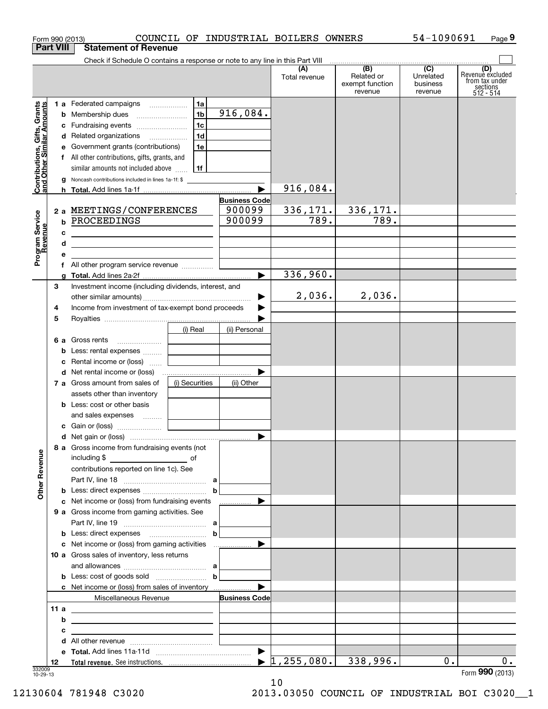|                                                           | COUNCIL OF INDUSTRIAL BOILERS OWNERS<br>Form 990 (2013)                                                                                                                                                                                                                                                                        |                                          |                                  |                                                 | 54-1090691                                           | Page 9                                                             |
|-----------------------------------------------------------|--------------------------------------------------------------------------------------------------------------------------------------------------------------------------------------------------------------------------------------------------------------------------------------------------------------------------------|------------------------------------------|----------------------------------|-------------------------------------------------|------------------------------------------------------|--------------------------------------------------------------------|
| <b>Part VIII</b>                                          | <b>Statement of Revenue</b>                                                                                                                                                                                                                                                                                                    |                                          |                                  |                                                 |                                                      |                                                                    |
|                                                           | Check if Schedule O contains a response or note to any line in this Part VIII                                                                                                                                                                                                                                                  |                                          | (A)<br>Total revenue             | (B)<br>Related or<br>exempt function<br>revenue | $\overline{(C)}$<br>Unrelated<br>business<br>revenue | (D)<br>Revenue excluded<br>from tax under<br>sections<br>512 - 514 |
| Contributions, Gifts, Grants<br>and Other Similar Amounts | 1a<br>1 a Federated campaigns<br>1 <sub>b</sub><br>1c<br>c Fundraising events<br>1d<br>d Related organizations<br>1e<br>e Government grants (contributions)<br>f All other contributions, gifts, grants, and<br>similar amounts not included above<br>  1f                                                                     | $\overline{916,084}$ .                   |                                  |                                                 |                                                      |                                                                    |
|                                                           | Noncash contributions included in lines 1a-1f: \$<br>g                                                                                                                                                                                                                                                                         |                                          | 916,084.                         |                                                 |                                                      |                                                                    |
|                                                           | 2 a MEETINGS/CONFERENCES<br><b>b PROCEEDINGS</b>                                                                                                                                                                                                                                                                               | <b>Business Code</b><br>900099<br>900099 | 336,171.<br>789.                 | 336,171.<br>789.                                |                                                      |                                                                    |
| Program Service<br>Revenue                                | с<br><u> 1980 - Johann Barbara, martin amerikan per</u><br>d<br><u> 1989 - Johann Barbara, martin amerikan basal dan berasal dalam basal dalam basal dalam basal dalam basal dala</u><br>е<br>the control of the control of the control of the control of the control of the control of<br>f All other program service revenue |                                          |                                  |                                                 |                                                      |                                                                    |
|                                                           | a                                                                                                                                                                                                                                                                                                                              |                                          | 336,960.                         |                                                 |                                                      |                                                                    |
| З<br>4                                                    | Investment income (including dividends, interest, and<br>Income from investment of tax-exempt bond proceeds                                                                                                                                                                                                                    |                                          | 2,036.                           | 2,036.                                          |                                                      |                                                                    |
| 5                                                         | (i) Real<br><b>6 a</b> Gross rents<br>Less: rental expenses<br>b<br>Rental income or (loss)<br>c                                                                                                                                                                                                                               | (ii) Personal                            |                                  |                                                 |                                                      |                                                                    |
|                                                           | 7 a Gross amount from sales of<br>(i) Securities<br>assets other than inventory<br><b>b</b> Less: cost or other basis<br>and sales expenses                                                                                                                                                                                    | (ii) Other                               |                                  |                                                 |                                                      |                                                                    |
|                                                           |                                                                                                                                                                                                                                                                                                                                |                                          |                                  |                                                 |                                                      |                                                                    |
|                                                           | 8 a Gross income from fundraising events (not                                                                                                                                                                                                                                                                                  |                                          |                                  |                                                 |                                                      |                                                                    |
| <b>Other Revenue</b>                                      | contributions reported on line 1c). See                                                                                                                                                                                                                                                                                        | $\mathbf b$                              |                                  |                                                 |                                                      |                                                                    |
|                                                           | c Net income or (loss) from fundraising events<br>9 a Gross income from gaming activities. See                                                                                                                                                                                                                                 | .<br>$\mathbf b$                         |                                  |                                                 |                                                      |                                                                    |
|                                                           | 10 a Gross sales of inventory, less returns                                                                                                                                                                                                                                                                                    |                                          |                                  |                                                 |                                                      |                                                                    |
|                                                           | <b>c</b> Net income or (loss) from sales of inventory<br>Miscellaneous Revenue                                                                                                                                                                                                                                                 | $\mathbf b$<br><b>Business Code</b>      |                                  |                                                 |                                                      |                                                                    |
| 11a                                                       | <u> 1989 - Johann Barn, mars eta biztanleria (h. 1989).</u><br>b<br><u> 1989 - Andrea Andrew Maria (b. 1989)</u><br>c<br><u> 1989 - Johann Barbara, martxa eta idazlea (h. 1989).</u>                                                                                                                                          |                                          |                                  |                                                 |                                                      |                                                                    |
| 12<br>332009                                              | d                                                                                                                                                                                                                                                                                                                              |                                          | $\blacktriangleright$ 1,255,080. | 338,996.                                        | 0.                                                   | $0$ .                                                              |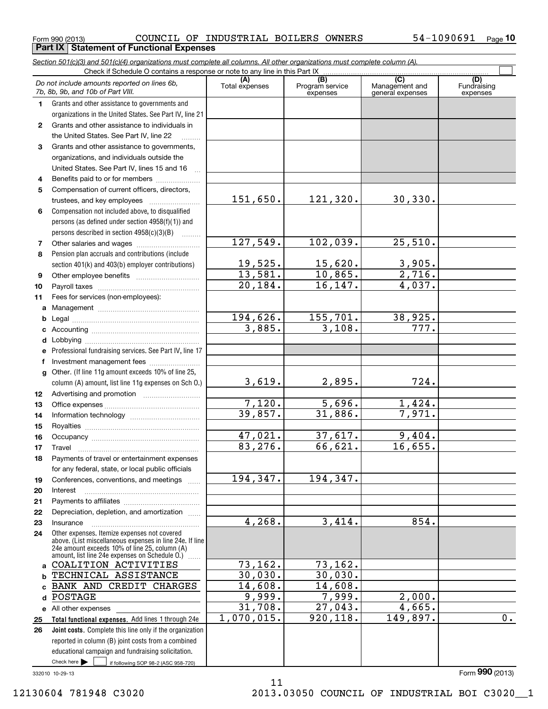**Part IX | Statement of Functional Expenses** 

*Section 501(c)(3) and 501(c)(4) organizations must complete all columns. All other organizations must complete column (A).*

|        | Do not include amounts reported on lines 6b,<br>7b, 8b, 9b, and 10b of Part VIII.                                                                                                                             | (A)<br>Total expenses | (B)<br>Program service<br>expenses | $\overline{C}$<br>Management and<br>general expenses | (D)<br>Fundraising<br>expenses |
|--------|---------------------------------------------------------------------------------------------------------------------------------------------------------------------------------------------------------------|-----------------------|------------------------------------|------------------------------------------------------|--------------------------------|
| 1.     | Grants and other assistance to governments and                                                                                                                                                                |                       |                                    |                                                      |                                |
|        | organizations in the United States. See Part IV, line 21                                                                                                                                                      |                       |                                    |                                                      |                                |
| 2      | Grants and other assistance to individuals in                                                                                                                                                                 |                       |                                    |                                                      |                                |
|        | the United States. See Part IV, line 22                                                                                                                                                                       |                       |                                    |                                                      |                                |
| 3      | Grants and other assistance to governments,                                                                                                                                                                   |                       |                                    |                                                      |                                |
|        | organizations, and individuals outside the                                                                                                                                                                    |                       |                                    |                                                      |                                |
|        | United States. See Part IV, lines 15 and 16                                                                                                                                                                   |                       |                                    |                                                      |                                |
| 4      | Benefits paid to or for members                                                                                                                                                                               |                       |                                    |                                                      |                                |
| 5      | Compensation of current officers, directors,                                                                                                                                                                  |                       |                                    |                                                      |                                |
|        | trustees, and key employees                                                                                                                                                                                   | 151,650.              | 121,320.                           | 30,330.                                              |                                |
| 6      | Compensation not included above, to disqualified                                                                                                                                                              |                       |                                    |                                                      |                                |
|        | persons (as defined under section 4958(f)(1)) and                                                                                                                                                             |                       |                                    |                                                      |                                |
|        | persons described in section 4958(c)(3)(B)                                                                                                                                                                    |                       |                                    |                                                      |                                |
| 7      |                                                                                                                                                                                                               | 127,549.              | 102,039.                           | 25,510.                                              |                                |
| 8      | Pension plan accruals and contributions (include                                                                                                                                                              |                       |                                    |                                                      |                                |
|        | section 401(k) and 403(b) employer contributions)                                                                                                                                                             | 19,525.               | 15,620.                            | 3,905.                                               |                                |
| 9      |                                                                                                                                                                                                               | 13,581.               | 10,865.                            | 2,716.                                               |                                |
| 10     |                                                                                                                                                                                                               | 20,184.               | 16, 147.                           | 4,037.                                               |                                |
| 11     | Fees for services (non-employees):                                                                                                                                                                            |                       |                                    |                                                      |                                |
| a      |                                                                                                                                                                                                               | 194,626.              | 155,701.                           |                                                      |                                |
| b      |                                                                                                                                                                                                               | 3,885.                | 3,108.                             | 38,925.<br>777.                                      |                                |
| c      |                                                                                                                                                                                                               |                       |                                    |                                                      |                                |
| d      | Professional fundraising services. See Part IV, line 17                                                                                                                                                       |                       |                                    |                                                      |                                |
| е<br>f | Investment management fees                                                                                                                                                                                    |                       |                                    |                                                      |                                |
| g      | Other. (If line 11g amount exceeds 10% of line 25,                                                                                                                                                            |                       |                                    |                                                      |                                |
|        | column (A) amount, list line 11g expenses on Sch O.)                                                                                                                                                          | 3,619.                | 2,895.                             | 724.                                                 |                                |
| 12     |                                                                                                                                                                                                               |                       |                                    |                                                      |                                |
| 13     |                                                                                                                                                                                                               | 7,120.                | 5,696.                             | 1,424.                                               |                                |
| 14     |                                                                                                                                                                                                               | 39,857.               | 31,886.                            | 7,971.                                               |                                |
| 15     |                                                                                                                                                                                                               |                       |                                    |                                                      |                                |
| 16     |                                                                                                                                                                                                               | 47,021.               | 37,617.                            | 9,404.                                               |                                |
| 17     |                                                                                                                                                                                                               | 83,276.               | 66,621.                            | 16,655.                                              |                                |
| 18     | Payments of travel or entertainment expenses                                                                                                                                                                  |                       |                                    |                                                      |                                |
|        | for any federal, state, or local public officials                                                                                                                                                             |                       |                                    |                                                      |                                |
| 19     | Conferences, conventions, and meetings                                                                                                                                                                        | 194, 347.             | 194, 347.                          |                                                      |                                |
| 20     | Interest                                                                                                                                                                                                      |                       |                                    |                                                      |                                |
| 21     |                                                                                                                                                                                                               |                       |                                    |                                                      |                                |
| 22     | Depreciation, depletion, and amortization                                                                                                                                                                     |                       |                                    |                                                      |                                |
| 23     | Insurance                                                                                                                                                                                                     | 4,268.                | 3,414.                             | 854.                                                 |                                |
| 24     | Other expenses. Itemize expenses not covered<br>above. (List miscellaneous expenses in line 24e. If line<br>24e amount exceeds 10% of line 25, column (A)<br>amount, list line 24e expenses on Schedule O.) [ |                       |                                    |                                                      |                                |
|        | a COALITION ACTIVITIES                                                                                                                                                                                        | 73, 162.              | 73,162.                            |                                                      |                                |
| b      | TECHNICAL ASSISTANCE                                                                                                                                                                                          | 30,030.               | 30,030.                            |                                                      |                                |
|        | c BANK AND CREDIT CHARGES                                                                                                                                                                                     | 14,608.               | 14,608.                            |                                                      |                                |
| d      | POSTAGE                                                                                                                                                                                                       | 9,999.                | 7,999.                             | 2,000.                                               |                                |
|        | e All other expenses                                                                                                                                                                                          | 31,708.               | 27,043.                            | 4,665.                                               |                                |
| 25     | Total functional expenses. Add lines 1 through 24e                                                                                                                                                            | 1,070,015.            | 920, 118.                          | 149,897.                                             | $\overline{0}$ .               |
| 26     | Joint costs. Complete this line only if the organization                                                                                                                                                      |                       |                                    |                                                      |                                |
|        | reported in column (B) joint costs from a combined                                                                                                                                                            |                       |                                    |                                                      |                                |
|        | educational campaign and fundraising solicitation.                                                                                                                                                            |                       |                                    |                                                      |                                |
|        | Check here $\blacktriangleright$<br>if following SOP 98-2 (ASC 958-720)                                                                                                                                       |                       |                                    |                                                      |                                |

332010 10-29-13

11 12130604 781948 C3020 2013.03050 COUNCIL OF INDUSTRIAL BOI C3020\_\_1

Form (2013) **990**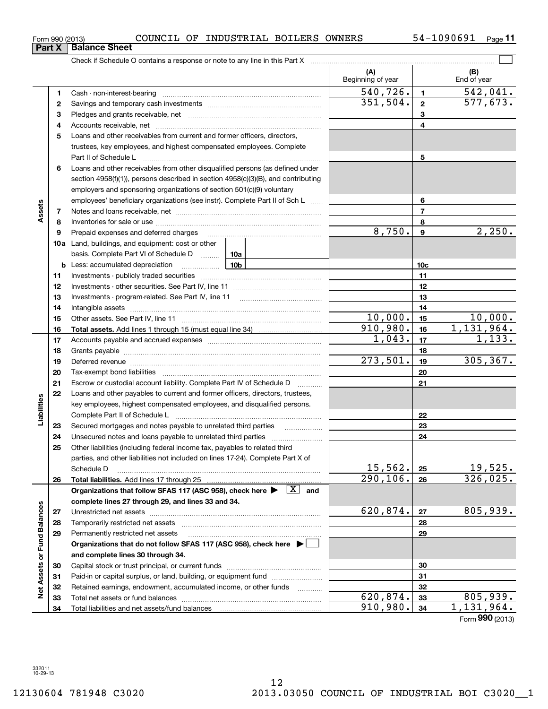| is a response or note to any line in this Part X |  |
|--------------------------------------------------|--|
|                                                  |  |

|                             |          |                                                                                                                                                                                                                               | (A)<br>Beginning of year |                  | (B)<br>End of year  |
|-----------------------------|----------|-------------------------------------------------------------------------------------------------------------------------------------------------------------------------------------------------------------------------------|--------------------------|------------------|---------------------|
|                             | 1        |                                                                                                                                                                                                                               | 540, 726.                | $\mathbf{1}$     | 542,041.            |
|                             | 2        |                                                                                                                                                                                                                               | 351,504.                 | $\mathbf{2}$     | 577,673.            |
|                             | з        |                                                                                                                                                                                                                               |                          | 3                |                     |
|                             | 4        |                                                                                                                                                                                                                               |                          | 4                |                     |
|                             | 5        | Loans and other receivables from current and former officers, directors,                                                                                                                                                      |                          |                  |                     |
|                             |          | trustees, key employees, and highest compensated employees. Complete                                                                                                                                                          |                          |                  |                     |
|                             |          |                                                                                                                                                                                                                               |                          | 5                |                     |
|                             | 6        | Loans and other receivables from other disqualified persons (as defined under                                                                                                                                                 |                          |                  |                     |
|                             |          | section 4958(f)(1)), persons described in section 4958(c)(3)(B), and contributing                                                                                                                                             |                          |                  |                     |
|                             |          | employers and sponsoring organizations of section 501(c)(9) voluntary                                                                                                                                                         |                          |                  |                     |
|                             |          | employees' beneficiary organizations (see instr). Complete Part II of Sch L                                                                                                                                                   |                          | 6                |                     |
| Assets                      | 7        |                                                                                                                                                                                                                               |                          | $\overline{7}$   |                     |
|                             | 8        |                                                                                                                                                                                                                               |                          | 8                |                     |
|                             | 9        | Prepaid expenses and deferred charges                                                                                                                                                                                         | 8,750.                   | $\boldsymbol{9}$ | 2,250.              |
|                             |          | <b>10a</b> Land, buildings, and equipment: cost or other                                                                                                                                                                      |                          |                  |                     |
|                             |          | basis. Complete Part VI of Schedule D  10a                                                                                                                                                                                    |                          |                  |                     |
|                             |          | <b>10b</b><br><b>b</b> Less: accumulated depreciation                                                                                                                                                                         |                          | 10 <sub>c</sub>  |                     |
|                             | 11       |                                                                                                                                                                                                                               |                          | 11               |                     |
|                             | 12       |                                                                                                                                                                                                                               |                          | 12               |                     |
|                             | 13       |                                                                                                                                                                                                                               |                          | 13               |                     |
|                             | 14       |                                                                                                                                                                                                                               |                          | 14               |                     |
|                             | 15       |                                                                                                                                                                                                                               | 10,000.                  | 15               | 10,000.             |
|                             | 16       |                                                                                                                                                                                                                               | 910,980.                 | 16               | 1,131,964.          |
|                             | 17       |                                                                                                                                                                                                                               | 1,043.                   | 17               | 1,133.              |
|                             | 18       |                                                                                                                                                                                                                               |                          | 18               |                     |
|                             | 19       | Deferred revenue manual contracts and contracts are all the manual contracts and contracts are all the contracts of the contracts of the contracts of the contracts of the contracts of the contracts of the contracts of the | 273,501.                 | 19               | 305, 367.           |
|                             | 20       |                                                                                                                                                                                                                               |                          | 20               |                     |
|                             | 21       | Escrow or custodial account liability. Complete Part IV of Schedule D<br>$\overline{\phantom{a}}$                                                                                                                             |                          | 21               |                     |
|                             | 22       | Loans and other payables to current and former officers, directors, trustees,                                                                                                                                                 |                          |                  |                     |
|                             |          | key employees, highest compensated employees, and disqualified persons.                                                                                                                                                       |                          |                  |                     |
| Liabilities                 |          |                                                                                                                                                                                                                               |                          | 22               |                     |
|                             | 23       | Secured mortgages and notes payable to unrelated third parties                                                                                                                                                                |                          | 23               |                     |
|                             | 24       |                                                                                                                                                                                                                               |                          | 24               |                     |
|                             | 25       | Other liabilities (including federal income tax, payables to related third                                                                                                                                                    |                          |                  |                     |
|                             |          | parties, and other liabilities not included on lines 17-24). Complete Part X of                                                                                                                                               | 15,562.                  |                  |                     |
|                             |          | Schedule D                                                                                                                                                                                                                    | 290, 106.                | 25               | 19,525.<br>326,025. |
|                             | 26       |                                                                                                                                                                                                                               |                          | 26               |                     |
|                             |          | Organizations that follow SFAS 117 (ASC 958), check here $\blacktriangleright \begin{array}{ c } \hline X & \text{and} \end{array}$                                                                                           |                          |                  |                     |
|                             |          | complete lines 27 through 29, and lines 33 and 34.                                                                                                                                                                            | 620,874.                 | 27               | 805,939.            |
|                             | 27       |                                                                                                                                                                                                                               |                          | 28               |                     |
|                             | 28<br>29 | Permanently restricted net assets                                                                                                                                                                                             |                          | 29               |                     |
|                             |          | Organizations that do not follow SFAS 117 (ASC 958), check here ▶ │                                                                                                                                                           |                          |                  |                     |
|                             |          | and complete lines 30 through 34.                                                                                                                                                                                             |                          |                  |                     |
|                             | 30       |                                                                                                                                                                                                                               |                          | 30               |                     |
|                             | 31       | Paid-in or capital surplus, or land, building, or equipment fund                                                                                                                                                              |                          | 31               |                     |
|                             | 32       | Retained earnings, endowment, accumulated income, or other funds                                                                                                                                                              |                          | 32               |                     |
| Net Assets or Fund Balances | 33       | 1.1.1.1.1.1.1.1.1.1                                                                                                                                                                                                           | 620,874.                 | 33               | 805,939.            |
|                             | 34       |                                                                                                                                                                                                                               | 910,980.                 | 34               | 1,131,964.          |

Form (2013) **990**

| Form 990 (2013) |                             |
|-----------------|-----------------------------|
|                 | <b>Part X Balance Sheet</b> |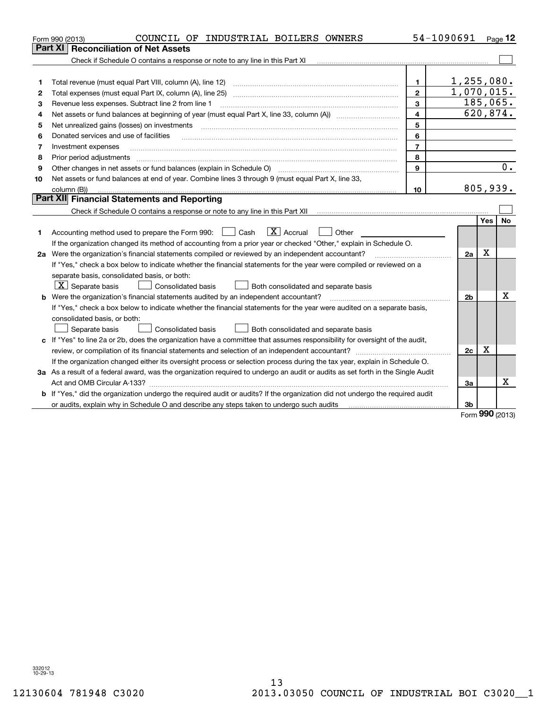| Part XI<br>1,255,080.<br>$\mathbf{1}$<br>1<br>1,070,015.<br>$\overline{2}$<br>2<br>185,065.<br>3<br>Revenue less expenses. Subtract line 2 from line 1<br>3<br>620,874.<br>4<br>Net assets or fund balances at beginning of year (must equal Part X, line 33, column (A)) <i>massets</i> or fund balances at beginning of year (must equal Part X, line 33, column (A))<br>4<br>5<br>Net unrealized gains (losses) on investments<br>5<br>6<br>Donated services and use of facilities<br>6<br>$\overline{7}$<br>Investment expenses<br>7<br>8<br>Prior period adjustments<br>8<br>0.<br>Other changes in net assets or fund balances (explain in Schedule O)<br>9<br>9<br>Net assets or fund balances at end of year. Combine lines 3 through 9 (must equal Part X, line 33,<br>10<br>805,939.<br>10<br>column (B))<br>Part XII Financial Statements and Reporting<br>Yes<br><b>No</b><br>$\boxed{\mathbf{X}}$ Accrual<br>Accounting method used to prepare the Form 990: <u>June</u> Cash<br>Other<br>1<br>If the organization changed its method of accounting from a prior year or checked "Other," explain in Schedule O.<br>X<br>2a Were the organization's financial statements compiled or reviewed by an independent accountant?<br>2a<br>If "Yes," check a box below to indicate whether the financial statements for the year were compiled or reviewed on a<br>separate basis, consolidated basis, or both:<br>$\boxed{\textbf{X}}$ Separate basis<br>Consolidated basis<br>Both consolidated and separate basis<br>Х<br><b>b</b> Were the organization's financial statements audited by an independent accountant?<br>2 <sub>b</sub><br>If "Yes," check a box below to indicate whether the financial statements for the year were audited on a separate basis,<br>consolidated basis, or both:<br>Separate basis<br><b>Consolidated basis</b><br>Both consolidated and separate basis<br>c If "Yes" to line 2a or 2b, does the organization have a committee that assumes responsibility for oversight of the audit,<br>Χ<br>2c<br>If the organization changed either its oversight process or selection process during the tax year, explain in Schedule O.<br>3a As a result of a federal award, was the organization required to undergo an audit or audits as set forth in the Single Audit<br>x<br>За<br>b If "Yes," did the organization undergo the required audit or audits? If the organization did not undergo the required audit | COUNCIL OF INDUSTRIAL BOILERS OWNERS<br>Form 990 (2013) |  | 54-1090691 |  | Page $12$ |  |  |
|-----------------------------------------------------------------------------------------------------------------------------------------------------------------------------------------------------------------------------------------------------------------------------------------------------------------------------------------------------------------------------------------------------------------------------------------------------------------------------------------------------------------------------------------------------------------------------------------------------------------------------------------------------------------------------------------------------------------------------------------------------------------------------------------------------------------------------------------------------------------------------------------------------------------------------------------------------------------------------------------------------------------------------------------------------------------------------------------------------------------------------------------------------------------------------------------------------------------------------------------------------------------------------------------------------------------------------------------------------------------------------------------------------------------------------------------------------------------------------------------------------------------------------------------------------------------------------------------------------------------------------------------------------------------------------------------------------------------------------------------------------------------------------------------------------------------------------------------------------------------------------------------------------------------------------------------------------------------------------------------------------------------------------------------------------------------------------------------------------------------------------------------------------------------------------------------------------------------------------------------------------------------------------------------------------------------------------------------------------------------------------------------------------------------------------------------------------------|---------------------------------------------------------|--|------------|--|-----------|--|--|
|                                                                                                                                                                                                                                                                                                                                                                                                                                                                                                                                                                                                                                                                                                                                                                                                                                                                                                                                                                                                                                                                                                                                                                                                                                                                                                                                                                                                                                                                                                                                                                                                                                                                                                                                                                                                                                                                                                                                                                                                                                                                                                                                                                                                                                                                                                                                                                                                                                                           | <b>Reconciliation of Net Assets</b>                     |  |            |  |           |  |  |
|                                                                                                                                                                                                                                                                                                                                                                                                                                                                                                                                                                                                                                                                                                                                                                                                                                                                                                                                                                                                                                                                                                                                                                                                                                                                                                                                                                                                                                                                                                                                                                                                                                                                                                                                                                                                                                                                                                                                                                                                                                                                                                                                                                                                                                                                                                                                                                                                                                                           |                                                         |  |            |  |           |  |  |
|                                                                                                                                                                                                                                                                                                                                                                                                                                                                                                                                                                                                                                                                                                                                                                                                                                                                                                                                                                                                                                                                                                                                                                                                                                                                                                                                                                                                                                                                                                                                                                                                                                                                                                                                                                                                                                                                                                                                                                                                                                                                                                                                                                                                                                                                                                                                                                                                                                                           |                                                         |  |            |  |           |  |  |
|                                                                                                                                                                                                                                                                                                                                                                                                                                                                                                                                                                                                                                                                                                                                                                                                                                                                                                                                                                                                                                                                                                                                                                                                                                                                                                                                                                                                                                                                                                                                                                                                                                                                                                                                                                                                                                                                                                                                                                                                                                                                                                                                                                                                                                                                                                                                                                                                                                                           |                                                         |  |            |  |           |  |  |
|                                                                                                                                                                                                                                                                                                                                                                                                                                                                                                                                                                                                                                                                                                                                                                                                                                                                                                                                                                                                                                                                                                                                                                                                                                                                                                                                                                                                                                                                                                                                                                                                                                                                                                                                                                                                                                                                                                                                                                                                                                                                                                                                                                                                                                                                                                                                                                                                                                                           |                                                         |  |            |  |           |  |  |
|                                                                                                                                                                                                                                                                                                                                                                                                                                                                                                                                                                                                                                                                                                                                                                                                                                                                                                                                                                                                                                                                                                                                                                                                                                                                                                                                                                                                                                                                                                                                                                                                                                                                                                                                                                                                                                                                                                                                                                                                                                                                                                                                                                                                                                                                                                                                                                                                                                                           |                                                         |  |            |  |           |  |  |
|                                                                                                                                                                                                                                                                                                                                                                                                                                                                                                                                                                                                                                                                                                                                                                                                                                                                                                                                                                                                                                                                                                                                                                                                                                                                                                                                                                                                                                                                                                                                                                                                                                                                                                                                                                                                                                                                                                                                                                                                                                                                                                                                                                                                                                                                                                                                                                                                                                                           |                                                         |  |            |  |           |  |  |
|                                                                                                                                                                                                                                                                                                                                                                                                                                                                                                                                                                                                                                                                                                                                                                                                                                                                                                                                                                                                                                                                                                                                                                                                                                                                                                                                                                                                                                                                                                                                                                                                                                                                                                                                                                                                                                                                                                                                                                                                                                                                                                                                                                                                                                                                                                                                                                                                                                                           |                                                         |  |            |  |           |  |  |
|                                                                                                                                                                                                                                                                                                                                                                                                                                                                                                                                                                                                                                                                                                                                                                                                                                                                                                                                                                                                                                                                                                                                                                                                                                                                                                                                                                                                                                                                                                                                                                                                                                                                                                                                                                                                                                                                                                                                                                                                                                                                                                                                                                                                                                                                                                                                                                                                                                                           |                                                         |  |            |  |           |  |  |
|                                                                                                                                                                                                                                                                                                                                                                                                                                                                                                                                                                                                                                                                                                                                                                                                                                                                                                                                                                                                                                                                                                                                                                                                                                                                                                                                                                                                                                                                                                                                                                                                                                                                                                                                                                                                                                                                                                                                                                                                                                                                                                                                                                                                                                                                                                                                                                                                                                                           |                                                         |  |            |  |           |  |  |
|                                                                                                                                                                                                                                                                                                                                                                                                                                                                                                                                                                                                                                                                                                                                                                                                                                                                                                                                                                                                                                                                                                                                                                                                                                                                                                                                                                                                                                                                                                                                                                                                                                                                                                                                                                                                                                                                                                                                                                                                                                                                                                                                                                                                                                                                                                                                                                                                                                                           |                                                         |  |            |  |           |  |  |
|                                                                                                                                                                                                                                                                                                                                                                                                                                                                                                                                                                                                                                                                                                                                                                                                                                                                                                                                                                                                                                                                                                                                                                                                                                                                                                                                                                                                                                                                                                                                                                                                                                                                                                                                                                                                                                                                                                                                                                                                                                                                                                                                                                                                                                                                                                                                                                                                                                                           |                                                         |  |            |  |           |  |  |
|                                                                                                                                                                                                                                                                                                                                                                                                                                                                                                                                                                                                                                                                                                                                                                                                                                                                                                                                                                                                                                                                                                                                                                                                                                                                                                                                                                                                                                                                                                                                                                                                                                                                                                                                                                                                                                                                                                                                                                                                                                                                                                                                                                                                                                                                                                                                                                                                                                                           |                                                         |  |            |  |           |  |  |
|                                                                                                                                                                                                                                                                                                                                                                                                                                                                                                                                                                                                                                                                                                                                                                                                                                                                                                                                                                                                                                                                                                                                                                                                                                                                                                                                                                                                                                                                                                                                                                                                                                                                                                                                                                                                                                                                                                                                                                                                                                                                                                                                                                                                                                                                                                                                                                                                                                                           |                                                         |  |            |  |           |  |  |
|                                                                                                                                                                                                                                                                                                                                                                                                                                                                                                                                                                                                                                                                                                                                                                                                                                                                                                                                                                                                                                                                                                                                                                                                                                                                                                                                                                                                                                                                                                                                                                                                                                                                                                                                                                                                                                                                                                                                                                                                                                                                                                                                                                                                                                                                                                                                                                                                                                                           |                                                         |  |            |  |           |  |  |
|                                                                                                                                                                                                                                                                                                                                                                                                                                                                                                                                                                                                                                                                                                                                                                                                                                                                                                                                                                                                                                                                                                                                                                                                                                                                                                                                                                                                                                                                                                                                                                                                                                                                                                                                                                                                                                                                                                                                                                                                                                                                                                                                                                                                                                                                                                                                                                                                                                                           |                                                         |  |            |  |           |  |  |
|                                                                                                                                                                                                                                                                                                                                                                                                                                                                                                                                                                                                                                                                                                                                                                                                                                                                                                                                                                                                                                                                                                                                                                                                                                                                                                                                                                                                                                                                                                                                                                                                                                                                                                                                                                                                                                                                                                                                                                                                                                                                                                                                                                                                                                                                                                                                                                                                                                                           |                                                         |  |            |  |           |  |  |
|                                                                                                                                                                                                                                                                                                                                                                                                                                                                                                                                                                                                                                                                                                                                                                                                                                                                                                                                                                                                                                                                                                                                                                                                                                                                                                                                                                                                                                                                                                                                                                                                                                                                                                                                                                                                                                                                                                                                                                                                                                                                                                                                                                                                                                                                                                                                                                                                                                                           |                                                         |  |            |  |           |  |  |
|                                                                                                                                                                                                                                                                                                                                                                                                                                                                                                                                                                                                                                                                                                                                                                                                                                                                                                                                                                                                                                                                                                                                                                                                                                                                                                                                                                                                                                                                                                                                                                                                                                                                                                                                                                                                                                                                                                                                                                                                                                                                                                                                                                                                                                                                                                                                                                                                                                                           |                                                         |  |            |  |           |  |  |
|                                                                                                                                                                                                                                                                                                                                                                                                                                                                                                                                                                                                                                                                                                                                                                                                                                                                                                                                                                                                                                                                                                                                                                                                                                                                                                                                                                                                                                                                                                                                                                                                                                                                                                                                                                                                                                                                                                                                                                                                                                                                                                                                                                                                                                                                                                                                                                                                                                                           |                                                         |  |            |  |           |  |  |
|                                                                                                                                                                                                                                                                                                                                                                                                                                                                                                                                                                                                                                                                                                                                                                                                                                                                                                                                                                                                                                                                                                                                                                                                                                                                                                                                                                                                                                                                                                                                                                                                                                                                                                                                                                                                                                                                                                                                                                                                                                                                                                                                                                                                                                                                                                                                                                                                                                                           |                                                         |  |            |  |           |  |  |
|                                                                                                                                                                                                                                                                                                                                                                                                                                                                                                                                                                                                                                                                                                                                                                                                                                                                                                                                                                                                                                                                                                                                                                                                                                                                                                                                                                                                                                                                                                                                                                                                                                                                                                                                                                                                                                                                                                                                                                                                                                                                                                                                                                                                                                                                                                                                                                                                                                                           |                                                         |  |            |  |           |  |  |
|                                                                                                                                                                                                                                                                                                                                                                                                                                                                                                                                                                                                                                                                                                                                                                                                                                                                                                                                                                                                                                                                                                                                                                                                                                                                                                                                                                                                                                                                                                                                                                                                                                                                                                                                                                                                                                                                                                                                                                                                                                                                                                                                                                                                                                                                                                                                                                                                                                                           |                                                         |  |            |  |           |  |  |
|                                                                                                                                                                                                                                                                                                                                                                                                                                                                                                                                                                                                                                                                                                                                                                                                                                                                                                                                                                                                                                                                                                                                                                                                                                                                                                                                                                                                                                                                                                                                                                                                                                                                                                                                                                                                                                                                                                                                                                                                                                                                                                                                                                                                                                                                                                                                                                                                                                                           |                                                         |  |            |  |           |  |  |
|                                                                                                                                                                                                                                                                                                                                                                                                                                                                                                                                                                                                                                                                                                                                                                                                                                                                                                                                                                                                                                                                                                                                                                                                                                                                                                                                                                                                                                                                                                                                                                                                                                                                                                                                                                                                                                                                                                                                                                                                                                                                                                                                                                                                                                                                                                                                                                                                                                                           |                                                         |  |            |  |           |  |  |
|                                                                                                                                                                                                                                                                                                                                                                                                                                                                                                                                                                                                                                                                                                                                                                                                                                                                                                                                                                                                                                                                                                                                                                                                                                                                                                                                                                                                                                                                                                                                                                                                                                                                                                                                                                                                                                                                                                                                                                                                                                                                                                                                                                                                                                                                                                                                                                                                                                                           |                                                         |  |            |  |           |  |  |
|                                                                                                                                                                                                                                                                                                                                                                                                                                                                                                                                                                                                                                                                                                                                                                                                                                                                                                                                                                                                                                                                                                                                                                                                                                                                                                                                                                                                                                                                                                                                                                                                                                                                                                                                                                                                                                                                                                                                                                                                                                                                                                                                                                                                                                                                                                                                                                                                                                                           |                                                         |  |            |  |           |  |  |
|                                                                                                                                                                                                                                                                                                                                                                                                                                                                                                                                                                                                                                                                                                                                                                                                                                                                                                                                                                                                                                                                                                                                                                                                                                                                                                                                                                                                                                                                                                                                                                                                                                                                                                                                                                                                                                                                                                                                                                                                                                                                                                                                                                                                                                                                                                                                                                                                                                                           |                                                         |  |            |  |           |  |  |
|                                                                                                                                                                                                                                                                                                                                                                                                                                                                                                                                                                                                                                                                                                                                                                                                                                                                                                                                                                                                                                                                                                                                                                                                                                                                                                                                                                                                                                                                                                                                                                                                                                                                                                                                                                                                                                                                                                                                                                                                                                                                                                                                                                                                                                                                                                                                                                                                                                                           |                                                         |  |            |  |           |  |  |
|                                                                                                                                                                                                                                                                                                                                                                                                                                                                                                                                                                                                                                                                                                                                                                                                                                                                                                                                                                                                                                                                                                                                                                                                                                                                                                                                                                                                                                                                                                                                                                                                                                                                                                                                                                                                                                                                                                                                                                                                                                                                                                                                                                                                                                                                                                                                                                                                                                                           |                                                         |  |            |  |           |  |  |
|                                                                                                                                                                                                                                                                                                                                                                                                                                                                                                                                                                                                                                                                                                                                                                                                                                                                                                                                                                                                                                                                                                                                                                                                                                                                                                                                                                                                                                                                                                                                                                                                                                                                                                                                                                                                                                                                                                                                                                                                                                                                                                                                                                                                                                                                                                                                                                                                                                                           |                                                         |  |            |  |           |  |  |
|                                                                                                                                                                                                                                                                                                                                                                                                                                                                                                                                                                                                                                                                                                                                                                                                                                                                                                                                                                                                                                                                                                                                                                                                                                                                                                                                                                                                                                                                                                                                                                                                                                                                                                                                                                                                                                                                                                                                                                                                                                                                                                                                                                                                                                                                                                                                                                                                                                                           |                                                         |  |            |  |           |  |  |
|                                                                                                                                                                                                                                                                                                                                                                                                                                                                                                                                                                                                                                                                                                                                                                                                                                                                                                                                                                                                                                                                                                                                                                                                                                                                                                                                                                                                                                                                                                                                                                                                                                                                                                                                                                                                                                                                                                                                                                                                                                                                                                                                                                                                                                                                                                                                                                                                                                                           |                                                         |  |            |  |           |  |  |
| nnn.                                                                                                                                                                                                                                                                                                                                                                                                                                                                                                                                                                                                                                                                                                                                                                                                                                                                                                                                                                                                                                                                                                                                                                                                                                                                                                                                                                                                                                                                                                                                                                                                                                                                                                                                                                                                                                                                                                                                                                                                                                                                                                                                                                                                                                                                                                                                                                                                                                                      |                                                         |  | 3b         |  |           |  |  |

Form (2013) **990**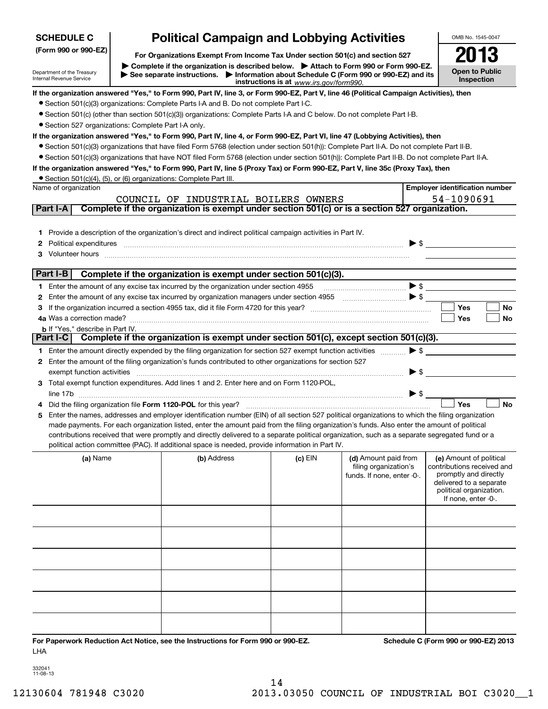| <b>SCHEDULE C</b>                                      | <b>Political Campaign and Lobbying Activities</b>                                                                                                                                                                                                                                              |                                         |                                                                           |                          | OMB No. 1545-0047                                  |
|--------------------------------------------------------|------------------------------------------------------------------------------------------------------------------------------------------------------------------------------------------------------------------------------------------------------------------------------------------------|-----------------------------------------|---------------------------------------------------------------------------|--------------------------|----------------------------------------------------|
| (Form 990 or 990-EZ)                                   | For Organizations Exempt From Income Tax Under section 501(c) and section 527                                                                                                                                                                                                                  |                                         |                                                                           |                          |                                                    |
| Department of the Treasury<br>Internal Revenue Service | ▶ Complete if the organization is described below. ▶ Attach to Form 990 or Form 990-EZ.<br>See separate instructions. Information about Schedule C (Form 990 or 990-EZ) and its                                                                                                                |                                         |                                                                           |                          | <b>Open to Public</b><br>Inspection                |
|                                                        | If the organization answered "Yes," to Form 990, Part IV, line 3, or Form 990-EZ, Part V, line 46 (Political Campaign Activities), then                                                                                                                                                        | instructions is at www.irs.gov/form990. |                                                                           |                          |                                                    |
|                                                        | • Section 501(c)(3) organizations: Complete Parts I-A and B. Do not complete Part I-C.                                                                                                                                                                                                         |                                         |                                                                           |                          |                                                    |
|                                                        | • Section 501(c) (other than section 501(c)(3)) organizations: Complete Parts I-A and C below. Do not complete Part I-B.                                                                                                                                                                       |                                         |                                                                           |                          |                                                    |
| • Section 527 organizations: Complete Part I-A only.   |                                                                                                                                                                                                                                                                                                |                                         |                                                                           |                          |                                                    |
|                                                        | If the organization answered "Yes," to Form 990, Part IV, line 4, or Form 990-EZ, Part VI, line 47 (Lobbying Activities), then                                                                                                                                                                 |                                         |                                                                           |                          |                                                    |
|                                                        | • Section 501(c)(3) organizations that have filed Form 5768 (election under section 501(h)): Complete Part II-A. Do not complete Part II-B.                                                                                                                                                    |                                         |                                                                           |                          |                                                    |
|                                                        | • Section 501(c)(3) organizations that have NOT filed Form 5768 (election under section 501(h)): Complete Part II-B. Do not complete Part II-A.                                                                                                                                                |                                         |                                                                           |                          |                                                    |
|                                                        | If the organization answered "Yes," to Form 990, Part IV, line 5 (Proxy Tax) or Form 990-EZ, Part V, line 35c (Proxy Tax), then                                                                                                                                                                |                                         |                                                                           |                          |                                                    |
|                                                        | • Section 501(c)(4), (5), or (6) organizations: Complete Part III.                                                                                                                                                                                                                             |                                         |                                                                           |                          |                                                    |
| Name of organization                                   |                                                                                                                                                                                                                                                                                                |                                         |                                                                           |                          | <b>Employer identification number</b>              |
|                                                        | COUNCIL OF INDUSTRIAL BOILERS OWNERS                                                                                                                                                                                                                                                           |                                         |                                                                           |                          | 54-1090691                                         |
| Part I-A                                               | Complete if the organization is exempt under section 501(c) or is a section 527 organization.                                                                                                                                                                                                  |                                         |                                                                           |                          |                                                    |
|                                                        |                                                                                                                                                                                                                                                                                                |                                         |                                                                           |                          |                                                    |
| 1                                                      | Provide a description of the organization's direct and indirect political campaign activities in Part IV.                                                                                                                                                                                      |                                         |                                                                           |                          |                                                    |
| 2                                                      | Political expenditures information and continuum and contract expenditures in the contract of the contract of the contract of the contract of the contract of the contract of the contract of the contract of the contract of                                                                  |                                         |                                                                           | $\blacktriangleright$ \$ |                                                    |
| 3                                                      | Volunteer hours <b>with a contract a contract of the contract of the contract of the contract of the contract of the contract of the contract of the contract of the contract of the contract of the contract of the contract of</b>                                                           |                                         |                                                                           |                          |                                                    |
|                                                        |                                                                                                                                                                                                                                                                                                |                                         |                                                                           |                          |                                                    |
| Part I-B                                               | Complete if the organization is exempt under section 501(c)(3).                                                                                                                                                                                                                                |                                         |                                                                           |                          |                                                    |
|                                                        | 1 Enter the amount of any excise tax incurred by the organization under section 4955                                                                                                                                                                                                           |                                         |                                                                           | $\blacktriangleright$ \$ |                                                    |
| 2                                                      | Enter the amount of any excise tax incurred by organization managers under section 4955                                                                                                                                                                                                        |                                         | $\begin{array}{c}\n\bullet \\ \bullet \\ \bullet \\ \bullet\n\end{array}$ |                          |                                                    |
| 3                                                      |                                                                                                                                                                                                                                                                                                |                                         |                                                                           |                          | <b>Yes</b><br>No                                   |
|                                                        |                                                                                                                                                                                                                                                                                                |                                         |                                                                           |                          | Yes<br>No                                          |
| <b>b</b> If "Yes," describe in Part IV.                |                                                                                                                                                                                                                                                                                                |                                         |                                                                           |                          |                                                    |
| Part I-C                                               | Complete if the organization is exempt under section 501(c), except section 501(c)(3).                                                                                                                                                                                                         |                                         |                                                                           |                          |                                                    |
|                                                        | 1 Enter the amount directly expended by the filing organization for section 527 exempt function activities                                                                                                                                                                                     |                                         |                                                                           | $\blacktriangleright$ \$ |                                                    |
|                                                        | 2 Enter the amount of the filing organization's funds contributed to other organizations for section 527                                                                                                                                                                                       |                                         |                                                                           |                          |                                                    |
| exempt function activities                             |                                                                                                                                                                                                                                                                                                |                                         |                                                                           | $\blacktriangleright$ \$ |                                                    |
|                                                        | 3 Total exempt function expenditures. Add lines 1 and 2. Enter here and on Form 1120-POL,                                                                                                                                                                                                      |                                         |                                                                           |                          |                                                    |
|                                                        |                                                                                                                                                                                                                                                                                                |                                         |                                                                           | $\blacktriangleright$ \$ |                                                    |
| 4                                                      |                                                                                                                                                                                                                                                                                                |                                         |                                                                           |                          | <b>No</b><br>Yes                                   |
| 5                                                      | Enter the names, addresses and employer identification number (EIN) of all section 527 political organizations to which the filing organization<br>made payments. For each organization listed, enter the amount paid from the filing organization's funds. Also enter the amount of political |                                         |                                                                           |                          |                                                    |
|                                                        | contributions received that were promptly and directly delivered to a separate political organization, such as a separate segregated fund or a                                                                                                                                                 |                                         |                                                                           |                          |                                                    |
|                                                        | political action committee (PAC). If additional space is needed, provide information in Part IV.                                                                                                                                                                                               |                                         |                                                                           |                          |                                                    |
| (a) Name                                               | (b) Address                                                                                                                                                                                                                                                                                    | (c) EIN                                 | (d) Amount paid from                                                      |                          | (e) Amount of political                            |
|                                                        |                                                                                                                                                                                                                                                                                                |                                         | filing organization's                                                     |                          | contributions received and                         |
|                                                        |                                                                                                                                                                                                                                                                                                |                                         | funds. If none, enter -0-.                                                |                          | promptly and directly                              |
|                                                        |                                                                                                                                                                                                                                                                                                |                                         |                                                                           |                          | delivered to a separate<br>political organization. |
|                                                        |                                                                                                                                                                                                                                                                                                |                                         |                                                                           |                          | If none, enter -0-.                                |
|                                                        |                                                                                                                                                                                                                                                                                                |                                         |                                                                           |                          |                                                    |
|                                                        |                                                                                                                                                                                                                                                                                                |                                         |                                                                           |                          |                                                    |
|                                                        |                                                                                                                                                                                                                                                                                                |                                         |                                                                           |                          |                                                    |
|                                                        |                                                                                                                                                                                                                                                                                                |                                         |                                                                           |                          |                                                    |
|                                                        |                                                                                                                                                                                                                                                                                                |                                         |                                                                           |                          |                                                    |
|                                                        |                                                                                                                                                                                                                                                                                                |                                         |                                                                           |                          |                                                    |
|                                                        |                                                                                                                                                                                                                                                                                                |                                         |                                                                           |                          |                                                    |
|                                                        |                                                                                                                                                                                                                                                                                                |                                         |                                                                           |                          |                                                    |
|                                                        |                                                                                                                                                                                                                                                                                                |                                         |                                                                           |                          |                                                    |
|                                                        |                                                                                                                                                                                                                                                                                                |                                         |                                                                           |                          |                                                    |
|                                                        |                                                                                                                                                                                                                                                                                                |                                         |                                                                           |                          |                                                    |
|                                                        |                                                                                                                                                                                                                                                                                                |                                         |                                                                           |                          |                                                    |

332041 11-08-13

LHA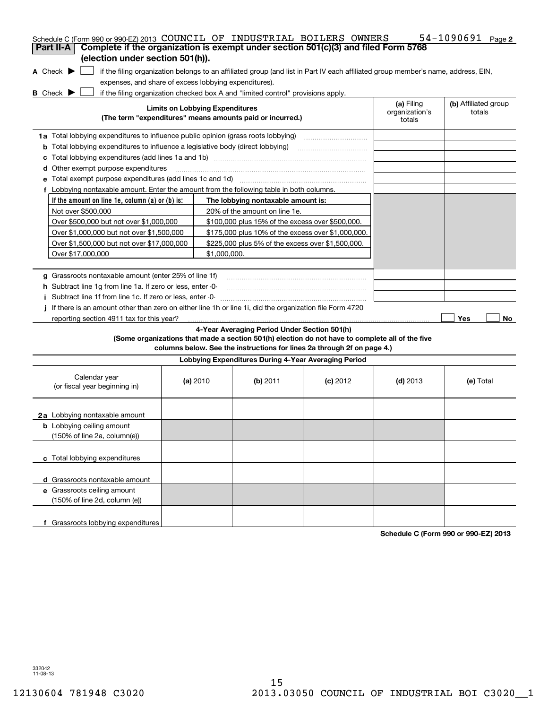| Schedule C (Form 990 or 990-EZ) 2013 COUNCIL OF INDUSTRIAL BOILERS OWNERS                                                                 |                                        |                                                      |                                                                                                                                                                            |                          | 54-1090691 Page 2    |  |  |  |  |  |
|-------------------------------------------------------------------------------------------------------------------------------------------|----------------------------------------|------------------------------------------------------|----------------------------------------------------------------------------------------------------------------------------------------------------------------------------|--------------------------|----------------------|--|--|--|--|--|
| Complete if the organization is exempt under section 501(c)(3) and filed Form 5768<br>Part II-A<br>(election under section 501(h)).       |                                        |                                                      |                                                                                                                                                                            |                          |                      |  |  |  |  |  |
| if the filing organization belongs to an affiliated group (and list in Part IV each affiliated group member's name, address, EIN,         |                                        |                                                      |                                                                                                                                                                            |                          |                      |  |  |  |  |  |
| A Check $\blacktriangleright$                                                                                                             |                                        |                                                      |                                                                                                                                                                            |                          |                      |  |  |  |  |  |
| expenses, and share of excess lobbying expenditures).<br>if the filing organization checked box A and "limited control" provisions apply. |                                        |                                                      |                                                                                                                                                                            |                          |                      |  |  |  |  |  |
| <b>B</b> Check $\blacktriangleright$                                                                                                      |                                        |                                                      |                                                                                                                                                                            | (a) Filing               | (b) Affiliated group |  |  |  |  |  |
| (The term "expenditures" means amounts paid or incurred.)                                                                                 | <b>Limits on Lobbying Expenditures</b> |                                                      |                                                                                                                                                                            | organization's<br>totals | totals               |  |  |  |  |  |
| <b>1a</b> Total lobbying expenditures to influence public opinion (grass roots lobbying)                                                  |                                        |                                                      |                                                                                                                                                                            |                          |                      |  |  |  |  |  |
| <b>b</b> Total lobbying expenditures to influence a legislative body (direct lobbying)                                                    |                                        |                                                      |                                                                                                                                                                            |                          |                      |  |  |  |  |  |
| c                                                                                                                                         |                                        |                                                      |                                                                                                                                                                            |                          |                      |  |  |  |  |  |
| <b>d</b> Other exempt purpose expenditures                                                                                                |                                        |                                                      |                                                                                                                                                                            |                          |                      |  |  |  |  |  |
| e Total exempt purpose expenditures (add lines 1c and 1d)                                                                                 |                                        |                                                      |                                                                                                                                                                            |                          |                      |  |  |  |  |  |
| f Lobbying nontaxable amount. Enter the amount from the following table in both columns.                                                  |                                        |                                                      |                                                                                                                                                                            |                          |                      |  |  |  |  |  |
| If the amount on line 1e, column (a) or (b) is:                                                                                           |                                        | The lobbying nontaxable amount is:                   |                                                                                                                                                                            |                          |                      |  |  |  |  |  |
| Not over \$500,000                                                                                                                        |                                        | 20% of the amount on line 1e.                        |                                                                                                                                                                            |                          |                      |  |  |  |  |  |
| Over \$500,000 but not over \$1,000,000                                                                                                   |                                        | \$100,000 plus 15% of the excess over \$500,000.     |                                                                                                                                                                            |                          |                      |  |  |  |  |  |
| Over \$1,000,000 but not over \$1,500,000                                                                                                 |                                        | \$175,000 plus 10% of the excess over \$1,000,000.   |                                                                                                                                                                            |                          |                      |  |  |  |  |  |
| Over \$1,500,000 but not over \$17,000,000                                                                                                |                                        | \$225,000 plus 5% of the excess over \$1,500,000.    |                                                                                                                                                                            |                          |                      |  |  |  |  |  |
| Over \$17,000,000                                                                                                                         | \$1.000.000.                           |                                                      |                                                                                                                                                                            |                          |                      |  |  |  |  |  |
|                                                                                                                                           |                                        |                                                      |                                                                                                                                                                            |                          |                      |  |  |  |  |  |
| g Grassroots nontaxable amount (enter 25% of line 1f)                                                                                     |                                        |                                                      |                                                                                                                                                                            |                          |                      |  |  |  |  |  |
|                                                                                                                                           |                                        |                                                      |                                                                                                                                                                            |                          |                      |  |  |  |  |  |
| h Subtract line 1g from line 1a. If zero or less, enter -0-                                                                               |                                        |                                                      |                                                                                                                                                                            |                          |                      |  |  |  |  |  |
| i Subtract line 1f from line 1c. If zero or less, enter -0-                                                                               |                                        |                                                      |                                                                                                                                                                            |                          |                      |  |  |  |  |  |
| If there is an amount other than zero on either line 1h or line 1i, did the organization file Form 4720                                   |                                        |                                                      |                                                                                                                                                                            |                          |                      |  |  |  |  |  |
| reporting section 4911 tax for this year?                                                                                                 |                                        |                                                      |                                                                                                                                                                            |                          | Yes<br>No            |  |  |  |  |  |
|                                                                                                                                           |                                        | 4-Year Averaging Period Under Section 501(h)         | (Some organizations that made a section 501(h) election do not have to complete all of the five<br>columns below. See the instructions for lines 2a through 2f on page 4.) |                          |                      |  |  |  |  |  |
|                                                                                                                                           |                                        | Lobbying Expenditures During 4-Year Averaging Period |                                                                                                                                                                            |                          |                      |  |  |  |  |  |
|                                                                                                                                           |                                        |                                                      |                                                                                                                                                                            |                          |                      |  |  |  |  |  |
| Calendar year<br>(or fiscal year beginning in)                                                                                            | (a) $2010$                             | (b) 2011                                             | $(c)$ 2012                                                                                                                                                                 | $(d)$ 2013               | (e) Total            |  |  |  |  |  |
|                                                                                                                                           |                                        |                                                      |                                                                                                                                                                            |                          |                      |  |  |  |  |  |
| 2a Lobbying nontaxable amount                                                                                                             |                                        |                                                      |                                                                                                                                                                            |                          |                      |  |  |  |  |  |
| <b>b</b> Lobbying ceiling amount                                                                                                          |                                        |                                                      |                                                                                                                                                                            |                          |                      |  |  |  |  |  |
| $(150\% \text{ of line } 2a, \text{ column}(e))$                                                                                          |                                        |                                                      |                                                                                                                                                                            |                          |                      |  |  |  |  |  |
|                                                                                                                                           |                                        |                                                      |                                                                                                                                                                            |                          |                      |  |  |  |  |  |
| c Total lobbying expenditures                                                                                                             |                                        |                                                      |                                                                                                                                                                            |                          |                      |  |  |  |  |  |
|                                                                                                                                           |                                        |                                                      |                                                                                                                                                                            |                          |                      |  |  |  |  |  |
| d Grassroots nontaxable amount                                                                                                            |                                        |                                                      |                                                                                                                                                                            |                          |                      |  |  |  |  |  |
| e Grassroots ceiling amount                                                                                                               |                                        |                                                      |                                                                                                                                                                            |                          |                      |  |  |  |  |  |
| (150% of line 2d, column (e))                                                                                                             |                                        |                                                      |                                                                                                                                                                            |                          |                      |  |  |  |  |  |
|                                                                                                                                           |                                        |                                                      |                                                                                                                                                                            |                          |                      |  |  |  |  |  |
|                                                                                                                                           |                                        |                                                      |                                                                                                                                                                            |                          |                      |  |  |  |  |  |

**Schedule C (Form 990 or 990-EZ) 2013**

332042 11-08-13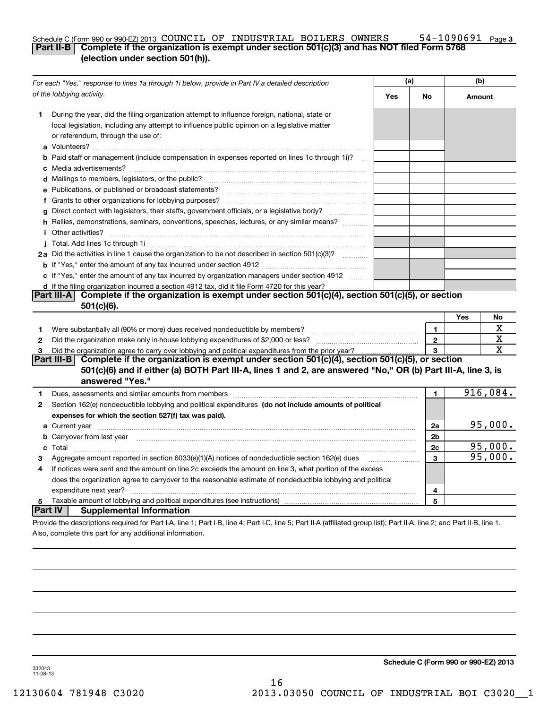#### **3** Schedule C (Form 990 or 990-EZ) 2013 <code>COUNCIL OF INDUSTRIAL BOILERS OWNERS</code> 54-1090691 <code>Page</code> **Part II-B Complete if the organization is exempt under section 501(c)(3) and has NOT filed Form 5768 (election under section 501(h)).**

|                | For each "Yes," response to lines 1a through 1i below, provide in Part IV a detailed description                                                                                                                                                 |     | (a)            | (b)    |             |
|----------------|--------------------------------------------------------------------------------------------------------------------------------------------------------------------------------------------------------------------------------------------------|-----|----------------|--------|-------------|
|                | of the lobbying activity.                                                                                                                                                                                                                        | Yes | No             | Amount |             |
| 1.             | During the year, did the filing organization attempt to influence foreign, national, state or<br>local legislation, including any attempt to influence public opinion on a legislative matter<br>or referendum, through the use of:              |     |                |        |             |
|                | <b>b</b> Paid staff or management (include compensation in expenses reported on lines 1c through 1i)?<br>$\sim$                                                                                                                                  |     |                |        |             |
|                |                                                                                                                                                                                                                                                  |     |                |        |             |
|                | e Publications, or published or broadcast statements?                                                                                                                                                                                            |     |                |        |             |
|                | f Grants to other organizations for lobbying purposes?                                                                                                                                                                                           |     |                |        |             |
| g              | Direct contact with legislators, their staffs, government officials, or a legislative body?                                                                                                                                                      |     |                |        |             |
|                | h Rallies, demonstrations, seminars, conventions, speeches, lectures, or any similar means?<br><i>i</i> Other activities?                                                                                                                        |     |                |        |             |
|                |                                                                                                                                                                                                                                                  |     |                |        |             |
|                | 2a Did the activities in line 1 cause the organization to be not described in section 501(c)(3)?                                                                                                                                                 |     |                |        |             |
|                | <b>b</b> If "Yes," enter the amount of any tax incurred under section 4912                                                                                                                                                                       |     |                |        |             |
|                | c If "Yes," enter the amount of any tax incurred by organization managers under section 4912                                                                                                                                                     |     |                |        |             |
|                | d If the filing organization incurred a section 4912 tax, did it file Form 4720 for this year?                                                                                                                                                   |     |                |        |             |
|                | Complete if the organization is exempt under section 501(c)(4), section 501(c)(5), or section<br> Part III-A <br>$501(c)(6)$ .                                                                                                                   |     |                |        |             |
|                |                                                                                                                                                                                                                                                  |     |                | Yes    | No          |
| 1              | Were substantially all (90% or more) dues received nondeductible by members?                                                                                                                                                                     |     | $\mathbf{1}$   |        | х           |
| 2              |                                                                                                                                                                                                                                                  |     | $\mathbf 2$    |        | х           |
| з              | Did the organization agree to carry over lobbying and political expenditures from the prior year?                                                                                                                                                |     | 3              |        | $\mathbf X$ |
|                | Complete if the organization is exempt under section 501(c)(4), section 501(c)(5), or section<br> Part III-B <br>501(c)(6) and if either (a) BOTH Part III-A, lines 1 and 2, are answered "No," OR (b) Part III-A, line 3, is<br>answered "Yes." |     |                |        |             |
| 1.             | Dues, assessments and similar amounts from members [111] www.communicallyness.communicallyness.communicallyness.com                                                                                                                              |     | 1.             |        | 916,084.    |
| 2              | Section 162(e) nondeductible lobbying and political expenditures (do not include amounts of political<br>expenses for which the section 527(f) tax was paid).                                                                                    |     |                |        |             |
|                |                                                                                                                                                                                                                                                  |     | 2a             |        | 95,000.     |
|                | <b>b</b> Carryover from last year <b>contained to the contract of the contract of contract of the contract of contract of contract of contract of contract of contract of contract of contract of contract of contract of contract of</b>        |     | 2 <sub>b</sub> |        |             |
|                |                                                                                                                                                                                                                                                  |     | 2c             |        | 95,000.     |
| 3              | Aggregate amount reported in section 6033(e)(1)(A) notices of nondeductible section 162(e) dues                                                                                                                                                  |     | 3              |        | 95,000.     |
| 4              | If notices were sent and the amount on line 2c exceeds the amount on line 3, what portion of the excess                                                                                                                                          |     |                |        |             |
|                | does the organization agree to carryover to the reasonable estimate of nondeductible lobbying and political                                                                                                                                      |     |                |        |             |
|                | expenditure next year?                                                                                                                                                                                                                           |     | 4              |        |             |
| 5              |                                                                                                                                                                                                                                                  |     | 5              |        |             |
| <b>Part IV</b> | <b>Supplemental Information</b>                                                                                                                                                                                                                  |     |                |        |             |
|                | Provide the descriptions required for Part I-A, line 1; Part I-B, line 4; Part I-C, line 5; Part II-A (affiliated group list); Part II-A, line 2; and Part II-B, line 1.                                                                         |     |                |        |             |
|                | Also, complete this part for any additional information.                                                                                                                                                                                         |     |                |        |             |

**Schedule C (Form 990 or 990-EZ) 2013**

332043 11-08-13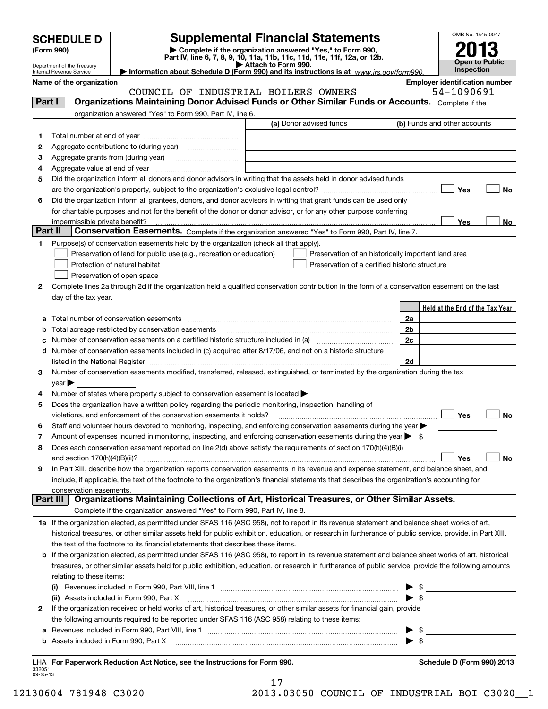| <b>Supplemental Financial Statements</b><br><b>SCHEDULE D</b> |                                              |                                                                                                        |                                                                                                                                                                                                                               |  |                              |                                                                                                                                                                                                                                     | OMB No. 1545-0047     |    |
|---------------------------------------------------------------|----------------------------------------------|--------------------------------------------------------------------------------------------------------|-------------------------------------------------------------------------------------------------------------------------------------------------------------------------------------------------------------------------------|--|------------------------------|-------------------------------------------------------------------------------------------------------------------------------------------------------------------------------------------------------------------------------------|-----------------------|----|
|                                                               | (Form 990)                                   |                                                                                                        | Complete if the organization answered "Yes," to Form 990,<br>Part IV, line 6, 7, 8, 9, 10, 11a, 11b, 11c, 11d, 11e, 11f, 12a, or 12b.                                                                                         |  |                              |                                                                                                                                                                                                                                     |                       |    |
|                                                               | Department of the Treasury                   |                                                                                                        | Attach to Form 990.                                                                                                                                                                                                           |  |                              |                                                                                                                                                                                                                                     | <b>Open to Public</b> |    |
|                                                               | Internal Revenue Service                     |                                                                                                        | Information about Schedule D (Form 990) and its instructions is at www.irs.gov/form990.                                                                                                                                       |  |                              |                                                                                                                                                                                                                                     | <b>Inspection</b>     |    |
|                                                               | Name of the organization                     | COUNCIL OF INDUSTRIAL BOILERS OWNERS                                                                   |                                                                                                                                                                                                                               |  |                              | <b>Employer identification number</b><br>54-1090691                                                                                                                                                                                 |                       |    |
| Part I                                                        |                                              |                                                                                                        | Organizations Maintaining Donor Advised Funds or Other Similar Funds or Accounts. Complete if the                                                                                                                             |  |                              |                                                                                                                                                                                                                                     |                       |    |
|                                                               |                                              | organization answered "Yes" to Form 990, Part IV, line 6.                                              |                                                                                                                                                                                                                               |  |                              |                                                                                                                                                                                                                                     |                       |    |
|                                                               |                                              |                                                                                                        | (a) Donor advised funds                                                                                                                                                                                                       |  | (b) Funds and other accounts |                                                                                                                                                                                                                                     |                       |    |
| 1.                                                            |                                              |                                                                                                        |                                                                                                                                                                                                                               |  |                              |                                                                                                                                                                                                                                     |                       |    |
| 2                                                             |                                              |                                                                                                        |                                                                                                                                                                                                                               |  |                              |                                                                                                                                                                                                                                     |                       |    |
| 3                                                             |                                              |                                                                                                        | the control of the control of the control of the control of the control of<br>the control of the control of the control of the control of the control of                                                                      |  |                              |                                                                                                                                                                                                                                     |                       |    |
| 4                                                             | Aggregate value at end of year               |                                                                                                        |                                                                                                                                                                                                                               |  |                              |                                                                                                                                                                                                                                     |                       |    |
| 5                                                             |                                              |                                                                                                        | Did the organization inform all donors and donor advisors in writing that the assets held in donor advised funds                                                                                                              |  |                              |                                                                                                                                                                                                                                     |                       |    |
|                                                               |                                              |                                                                                                        |                                                                                                                                                                                                                               |  |                              |                                                                                                                                                                                                                                     |                       | No |
| 6                                                             |                                              |                                                                                                        | Did the organization inform all grantees, donors, and donor advisors in writing that grant funds can be used only                                                                                                             |  |                              |                                                                                                                                                                                                                                     |                       |    |
|                                                               |                                              |                                                                                                        | for charitable purposes and not for the benefit of the donor or donor advisor, or for any other purpose conferring                                                                                                            |  |                              |                                                                                                                                                                                                                                     |                       |    |
|                                                               | impermissible private benefit?               |                                                                                                        |                                                                                                                                                                                                                               |  |                              | Yes                                                                                                                                                                                                                                 |                       | No |
|                                                               | Part II                                      |                                                                                                        | Conservation Easements. Complete if the organization answered "Yes" to Form 990, Part IV, line 7.                                                                                                                             |  |                              |                                                                                                                                                                                                                                     |                       |    |
| 1                                                             |                                              | Purpose(s) of conservation easements held by the organization (check all that apply).                  |                                                                                                                                                                                                                               |  |                              |                                                                                                                                                                                                                                     |                       |    |
|                                                               |                                              | Preservation of land for public use (e.g., recreation or education)                                    | Preservation of an historically important land area                                                                                                                                                                           |  |                              |                                                                                                                                                                                                                                     |                       |    |
|                                                               |                                              | Protection of natural habitat                                                                          | Preservation of a certified historic structure                                                                                                                                                                                |  |                              |                                                                                                                                                                                                                                     |                       |    |
|                                                               |                                              | Preservation of open space                                                                             |                                                                                                                                                                                                                               |  |                              |                                                                                                                                                                                                                                     |                       |    |
| 2                                                             |                                              |                                                                                                        | Complete lines 2a through 2d if the organization held a qualified conservation contribution in the form of a conservation easement on the last                                                                                |  |                              |                                                                                                                                                                                                                                     |                       |    |
|                                                               | day of the tax year.                         |                                                                                                        |                                                                                                                                                                                                                               |  |                              |                                                                                                                                                                                                                                     |                       |    |
|                                                               |                                              |                                                                                                        |                                                                                                                                                                                                                               |  |                              | Held at the End of the Tax Year                                                                                                                                                                                                     |                       |    |
| а                                                             |                                              |                                                                                                        | Total number of conservation easements [11] matter conservation of conservation easements [11] matter conservation experience in the set of conservation easements [11] matter conservation of conservation experience in the |  | 2a                           |                                                                                                                                                                                                                                     |                       |    |
| b                                                             |                                              | Total acreage restricted by conservation easements                                                     |                                                                                                                                                                                                                               |  | 2b                           |                                                                                                                                                                                                                                     |                       |    |
| с                                                             |                                              |                                                                                                        |                                                                                                                                                                                                                               |  | 2c                           |                                                                                                                                                                                                                                     |                       |    |
| d                                                             |                                              |                                                                                                        | Number of conservation easements included in (c) acquired after 8/17/06, and not on a historic structure                                                                                                                      |  |                              |                                                                                                                                                                                                                                     |                       |    |
|                                                               |                                              |                                                                                                        |                                                                                                                                                                                                                               |  | 2d                           |                                                                                                                                                                                                                                     |                       |    |
| З.                                                            |                                              |                                                                                                        | Number of conservation easements modified, transferred, released, extinguished, or terminated by the organization during the tax                                                                                              |  |                              |                                                                                                                                                                                                                                     |                       |    |
| 4                                                             | $\mathsf{year}$                              | Number of states where property subject to conservation easement is located $\blacktriangleright$      |                                                                                                                                                                                                                               |  |                              |                                                                                                                                                                                                                                     |                       |    |
| 5                                                             |                                              | Does the organization have a written policy regarding the periodic monitoring, inspection, handling of |                                                                                                                                                                                                                               |  |                              |                                                                                                                                                                                                                                     |                       |    |
|                                                               |                                              | violations, and enforcement of the conservation easements it holds?                                    |                                                                                                                                                                                                                               |  |                              | Yes                                                                                                                                                                                                                                 |                       | No |
| 6                                                             |                                              |                                                                                                        | Staff and volunteer hours devoted to monitoring, inspecting, and enforcing conservation easements during the year                                                                                                             |  |                              |                                                                                                                                                                                                                                     |                       |    |
| 7                                                             |                                              |                                                                                                        | Amount of expenses incurred in monitoring, inspecting, and enforcing conservation easements during the year $\blacktriangleright$ \$                                                                                          |  |                              |                                                                                                                                                                                                                                     |                       |    |
| 8                                                             |                                              |                                                                                                        | Does each conservation easement reported on line 2(d) above satisfy the requirements of section 170(h)(4)(B)(i)                                                                                                               |  |                              |                                                                                                                                                                                                                                     |                       |    |
|                                                               | and section $170(h)(4)(B)(ii)?$              |                                                                                                        |                                                                                                                                                                                                                               |  |                              | Yes                                                                                                                                                                                                                                 |                       | No |
| 9                                                             |                                              |                                                                                                        | In Part XIII, describe how the organization reports conservation easements in its revenue and expense statement, and balance sheet, and                                                                                       |  |                              |                                                                                                                                                                                                                                     |                       |    |
|                                                               |                                              |                                                                                                        | include, if applicable, the text of the footnote to the organization's financial statements that describes the organization's accounting for                                                                                  |  |                              |                                                                                                                                                                                                                                     |                       |    |
|                                                               | conservation easements.                      |                                                                                                        |                                                                                                                                                                                                                               |  |                              |                                                                                                                                                                                                                                     |                       |    |
|                                                               | Part III                                     |                                                                                                        | Organizations Maintaining Collections of Art, Historical Treasures, or Other Similar Assets.                                                                                                                                  |  |                              |                                                                                                                                                                                                                                     |                       |    |
|                                                               |                                              | Complete if the organization answered "Yes" to Form 990, Part IV, line 8.                              |                                                                                                                                                                                                                               |  |                              |                                                                                                                                                                                                                                     |                       |    |
|                                                               |                                              |                                                                                                        | 1a If the organization elected, as permitted under SFAS 116 (ASC 958), not to report in its revenue statement and balance sheet works of art,                                                                                 |  |                              |                                                                                                                                                                                                                                     |                       |    |
|                                                               |                                              |                                                                                                        | historical treasures, or other similar assets held for public exhibition, education, or research in furtherance of public service, provide, in Part XIII,                                                                     |  |                              |                                                                                                                                                                                                                                     |                       |    |
|                                                               |                                              | the text of the footnote to its financial statements that describes these items.                       |                                                                                                                                                                                                                               |  |                              |                                                                                                                                                                                                                                     |                       |    |
| b                                                             |                                              |                                                                                                        | If the organization elected, as permitted under SFAS 116 (ASC 958), to report in its revenue statement and balance sheet works of art, historical                                                                             |  |                              |                                                                                                                                                                                                                                     |                       |    |
|                                                               |                                              |                                                                                                        | treasures, or other similar assets held for public exhibition, education, or research in furtherance of public service, provide the following amounts                                                                         |  |                              |                                                                                                                                                                                                                                     |                       |    |
|                                                               | relating to these items:                     |                                                                                                        |                                                                                                                                                                                                                               |  |                              |                                                                                                                                                                                                                                     |                       |    |
|                                                               |                                              |                                                                                                        |                                                                                                                                                                                                                               |  | \$                           |                                                                                                                                                                                                                                     |                       |    |
|                                                               |                                              | (ii) Assets included in Form 990, Part X                                                               |                                                                                                                                                                                                                               |  | $\blacktriangleright$ \$     |                                                                                                                                                                                                                                     |                       |    |
| 2                                                             |                                              |                                                                                                        | If the organization received or held works of art, historical treasures, or other similar assets for financial gain, provide                                                                                                  |  |                              |                                                                                                                                                                                                                                     |                       |    |
|                                                               |                                              | the following amounts required to be reported under SFAS 116 (ASC 958) relating to these items:        |                                                                                                                                                                                                                               |  |                              |                                                                                                                                                                                                                                     |                       |    |
| а                                                             |                                              |                                                                                                        | Revenues included in Form 990, Part VIII, line 1 [2000] [2000] [2000] [2000] [2000] [2000] [2000] [2000] [2000                                                                                                                |  | -\$                          | <u>experience</u> and the control of the control of the control of the control of the control of the control of the control of the control of the control of the control of the control of the control of the control of the contro |                       |    |
|                                                               | <b>b</b> Assets included in Form 990, Part X |                                                                                                        |                                                                                                                                                                                                                               |  | $\blacktriangleright$ \$     |                                                                                                                                                                                                                                     |                       |    |

332051 09-25-13 **For Paperwork Reduction Act Notice, see the Instructions for Form 990. Schedule D (Form 990) 2013** LHA 17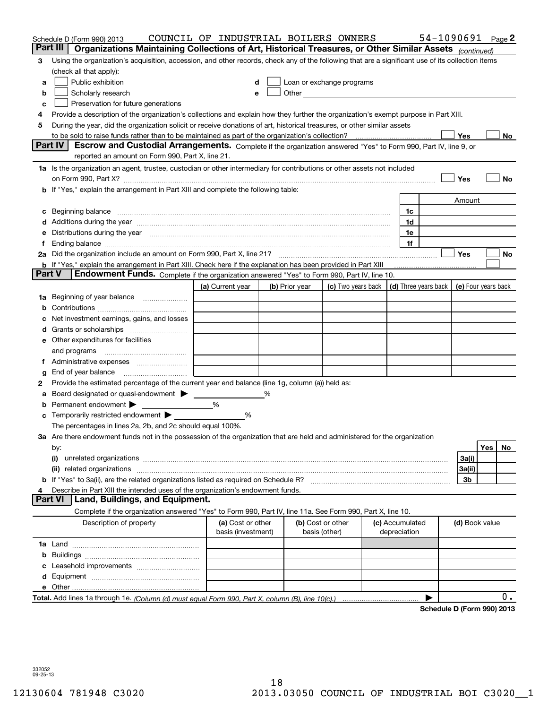|        | Schedule D (Form 990) 2013                                                                                                                                                                                                     | COUNCIL OF INDUSTRIAL BOILERS OWNERS |   |                |                                                                                                                                                                                                                               |                 | 54-1090691                 |                |            | Page 2 |
|--------|--------------------------------------------------------------------------------------------------------------------------------------------------------------------------------------------------------------------------------|--------------------------------------|---|----------------|-------------------------------------------------------------------------------------------------------------------------------------------------------------------------------------------------------------------------------|-----------------|----------------------------|----------------|------------|--------|
|        | Part III<br>Organizations Maintaining Collections of Art, Historical Treasures, or Other Similar Assets (continued)                                                                                                            |                                      |   |                |                                                                                                                                                                                                                               |                 |                            |                |            |        |
| 3      | Using the organization's acquisition, accession, and other records, check any of the following that are a significant use of its collection items                                                                              |                                      |   |                |                                                                                                                                                                                                                               |                 |                            |                |            |        |
|        | (check all that apply):                                                                                                                                                                                                        |                                      |   |                |                                                                                                                                                                                                                               |                 |                            |                |            |        |
| a      | Public exhibition                                                                                                                                                                                                              | d                                    |   |                | Loan or exchange programs                                                                                                                                                                                                     |                 |                            |                |            |        |
| b      | Scholarly research                                                                                                                                                                                                             |                                      |   |                | Other and the contract of the contract of the contract of the contract of the contract of the contract of the contract of the contract of the contract of the contract of the contract of the contract of the contract of the |                 |                            |                |            |        |
| с      | Preservation for future generations                                                                                                                                                                                            |                                      |   |                |                                                                                                                                                                                                                               |                 |                            |                |            |        |
| 4      | Provide a description of the organization's collections and explain how they further the organization's exempt purpose in Part XIII.                                                                                           |                                      |   |                |                                                                                                                                                                                                                               |                 |                            |                |            |        |
| 5      | During the year, did the organization solicit or receive donations of art, historical treasures, or other similar assets                                                                                                       |                                      |   |                |                                                                                                                                                                                                                               |                 |                            |                |            |        |
|        | to be sold to raise funds rather than to be maintained as part of the organization's collection?                                                                                                                               |                                      |   |                |                                                                                                                                                                                                                               | . <u>.</u>      |                            | Yes            |            | No     |
|        | <b>Part IV</b><br>Escrow and Custodial Arrangements. Complete if the organization answered "Yes" to Form 990, Part IV, line 9, or<br>reported an amount on Form 990, Part X, line 21.                                          |                                      |   |                |                                                                                                                                                                                                                               |                 |                            |                |            |        |
|        | 1a Is the organization an agent, trustee, custodian or other intermediary for contributions or other assets not included                                                                                                       |                                      |   |                |                                                                                                                                                                                                                               |                 |                            |                |            |        |
|        | on Form 990, Part X? [11] matter contracts and contracts and contracts are contracted and contracts are contracted and contract of the set of the set of the set of the set of the set of the set of the set of the set of the |                                      |   |                |                                                                                                                                                                                                                               |                 |                            | Yes            |            | No     |
|        | <b>b</b> If "Yes," explain the arrangement in Part XIII and complete the following table:                                                                                                                                      |                                      |   |                |                                                                                                                                                                                                                               |                 |                            |                |            |        |
|        |                                                                                                                                                                                                                                |                                      |   |                |                                                                                                                                                                                                                               |                 |                            | Amount         |            |        |
| c      | Beginning balance material contracts and contracts and contracts and contracts and contracts and contracts and                                                                                                                 |                                      |   |                |                                                                                                                                                                                                                               | 1c              |                            |                |            |        |
|        |                                                                                                                                                                                                                                |                                      |   |                |                                                                                                                                                                                                                               | 1d              |                            |                |            |        |
|        | e Distributions during the year manufactured and continuum control of the control of the control of the state of the control of the control of the control of the control of the control of the control of the control of the  |                                      |   |                |                                                                                                                                                                                                                               | 1e              |                            |                |            |        |
| f.     |                                                                                                                                                                                                                                |                                      |   |                |                                                                                                                                                                                                                               | 1f              |                            |                |            |        |
|        |                                                                                                                                                                                                                                |                                      |   |                |                                                                                                                                                                                                                               |                 |                            | Yes            |            | No     |
|        | <b>b</b> If "Yes," explain the arrangement in Part XIII. Check here if the explanation has been provided in Part XIII                                                                                                          |                                      |   |                |                                                                                                                                                                                                                               |                 |                            |                |            |        |
| Part V | Endowment Funds. Complete if the organization answered "Yes" to Form 990, Part IV, line 10.                                                                                                                                    |                                      |   |                |                                                                                                                                                                                                                               |                 |                            |                |            |        |
|        |                                                                                                                                                                                                                                | (a) Current year                     |   | (b) Prior year | (c) Two years back $\vert$ (d) Three years back $\vert$ (e) Four years back                                                                                                                                                   |                 |                            |                |            |        |
|        | 1a Beginning of year balance                                                                                                                                                                                                   |                                      |   |                |                                                                                                                                                                                                                               |                 |                            |                |            |        |
| b      |                                                                                                                                                                                                                                |                                      |   |                |                                                                                                                                                                                                                               |                 |                            |                |            |        |
|        | Net investment earnings, gains, and losses                                                                                                                                                                                     |                                      |   |                |                                                                                                                                                                                                                               |                 |                            |                |            |        |
|        |                                                                                                                                                                                                                                |                                      |   |                |                                                                                                                                                                                                                               |                 |                            |                |            |        |
|        | e Other expenditures for facilities                                                                                                                                                                                            |                                      |   |                |                                                                                                                                                                                                                               |                 |                            |                |            |        |
|        | and programs                                                                                                                                                                                                                   |                                      |   |                |                                                                                                                                                                                                                               |                 |                            |                |            |        |
|        | f Administrative expenses                                                                                                                                                                                                      |                                      |   |                |                                                                                                                                                                                                                               |                 |                            |                |            |        |
| g      |                                                                                                                                                                                                                                |                                      |   |                |                                                                                                                                                                                                                               |                 |                            |                |            |        |
| 2      | Provide the estimated percentage of the current year end balance (line 1g, column (a)) held as:                                                                                                                                |                                      |   |                |                                                                                                                                                                                                                               |                 |                            |                |            |        |
| а      | Board designated or quasi-endowment >                                                                                                                                                                                          |                                      | % |                |                                                                                                                                                                                                                               |                 |                            |                |            |        |
| b      | Permanent endowment >                                                                                                                                                                                                          | %                                    |   |                |                                                                                                                                                                                                                               |                 |                            |                |            |        |
|        | <b>c</b> Temporarily restricted endowment $\blacktriangleright$                                                                                                                                                                | %                                    |   |                |                                                                                                                                                                                                                               |                 |                            |                |            |        |
|        | The percentages in lines 2a, 2b, and 2c should equal 100%.                                                                                                                                                                     |                                      |   |                |                                                                                                                                                                                                                               |                 |                            |                |            |        |
|        | 3a Are there endowment funds not in the possession of the organization that are held and administered for the organization                                                                                                     |                                      |   |                |                                                                                                                                                                                                                               |                 |                            |                |            |        |
|        | by:                                                                                                                                                                                                                            |                                      |   |                |                                                                                                                                                                                                                               |                 |                            |                | <b>Yes</b> | No     |
|        |                                                                                                                                                                                                                                |                                      |   |                |                                                                                                                                                                                                                               |                 |                            | 3a(i)          |            |        |
|        |                                                                                                                                                                                                                                |                                      |   |                |                                                                                                                                                                                                                               |                 |                            | 3a(ii)         |            |        |
|        |                                                                                                                                                                                                                                |                                      |   |                |                                                                                                                                                                                                                               |                 |                            | 3b             |            |        |
| 4      | Describe in Part XIII the intended uses of the organization's endowment funds.                                                                                                                                                 |                                      |   |                |                                                                                                                                                                                                                               |                 |                            |                |            |        |
|        | Land, Buildings, and Equipment.<br><b>Part VI</b>                                                                                                                                                                              |                                      |   |                |                                                                                                                                                                                                                               |                 |                            |                |            |        |
|        | Complete if the organization answered "Yes" to Form 990, Part IV, line 11a. See Form 990, Part X, line 10.                                                                                                                     |                                      |   |                |                                                                                                                                                                                                                               |                 |                            |                |            |        |
|        | Description of property                                                                                                                                                                                                        | (a) Cost or other                    |   |                | (b) Cost or other                                                                                                                                                                                                             | (c) Accumulated |                            | (d) Book value |            |        |
|        |                                                                                                                                                                                                                                | basis (investment)                   |   |                | basis (other)                                                                                                                                                                                                                 | depreciation    |                            |                |            |        |
|        |                                                                                                                                                                                                                                |                                      |   |                |                                                                                                                                                                                                                               |                 |                            |                |            |        |
| b      |                                                                                                                                                                                                                                |                                      |   |                |                                                                                                                                                                                                                               |                 |                            |                |            |        |
| c      |                                                                                                                                                                                                                                |                                      |   |                |                                                                                                                                                                                                                               |                 |                            |                |            |        |
| d      |                                                                                                                                                                                                                                |                                      |   |                |                                                                                                                                                                                                                               |                 |                            |                |            |        |
|        |                                                                                                                                                                                                                                |                                      |   |                |                                                                                                                                                                                                                               |                 |                            |                |            |        |
|        | Total. Add lines 1a through 1e. (Column (d) must equal Form 990. Part X, column (B), line 10(c).)                                                                                                                              |                                      |   |                |                                                                                                                                                                                                                               |                 |                            |                |            | 0.     |
|        |                                                                                                                                                                                                                                |                                      |   |                |                                                                                                                                                                                                                               |                 | Schedule D (Form 990) 2013 |                |            |        |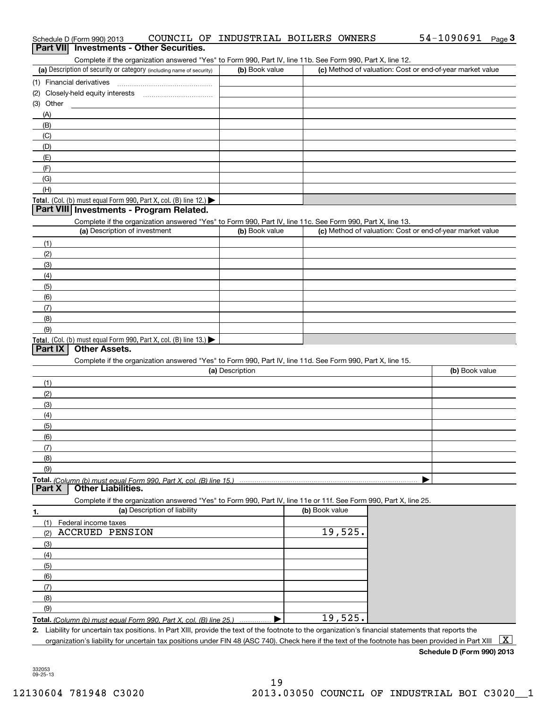| COUNCIL OF INDUSTRIAL BOILERS OWNERS<br>Schedule D (Form 990) 2013                                         |                |  | 54-1090691<br>$_{\text{Page}}$ 3                          |
|------------------------------------------------------------------------------------------------------------|----------------|--|-----------------------------------------------------------|
| <b>Investments - Other Securities.</b><br>Part VII                                                         |                |  |                                                           |
| Complete if the organization answered "Yes" to Form 990, Part IV, line 11b. See Form 990, Part X, line 12. |                |  |                                                           |
| (a) Description of security or category (including name of security)                                       | (b) Book value |  | (c) Method of valuation: Cost or end-of-year market value |
| (1) Financial derivatives                                                                                  |                |  |                                                           |
| (2) Closely-held equity interests                                                                          |                |  |                                                           |
| (3) Other                                                                                                  |                |  |                                                           |
| (A)                                                                                                        |                |  |                                                           |
|                                                                                                            |                |  |                                                           |
| (C)                                                                                                        |                |  |                                                           |
| (D)                                                                                                        |                |  |                                                           |
| (E)                                                                                                        |                |  |                                                           |
| (F)                                                                                                        |                |  |                                                           |
| (G)                                                                                                        |                |  |                                                           |
| (H)                                                                                                        |                |  |                                                           |
| <b>Total.</b> (Col. (b) must equal Form 990, Part X, col. (B) line 12.) $\blacktriangleright$              |                |  |                                                           |
| (B)<br><b>Dort VIII Investments Dreamer Delated</b>                                                        |                |  |                                                           |

## **Part VIII Investments - Program Related.**

**Total.** (Col. (b) must equal Form 990, Part X, col. (B) line 13.)  $\blacktriangleright$ (a) Description of investment (b) Book value Complete if the organization answered "Yes" to Form 990, Part IV, line 11c. See Form 990, Part X, line 13. (c) Method of valuation: Cost or end-of-year market value (1)(2) (3)(4) (5)(6)(7)(8) (9)

#### **Part IX Other Assets.**

Complete if the organization answered "Yes" to Form 990, Part IV, line 11d. See Form 990, Part X, line 15.

| (a) Description                                                    | (b) Book value |
|--------------------------------------------------------------------|----------------|
| (1)                                                                |                |
| (2)                                                                |                |
| (3)                                                                |                |
| (4)                                                                |                |
| (5)                                                                |                |
| (6)                                                                |                |
| $\sqrt{7}$                                                         |                |
| (8)                                                                |                |
| (9)                                                                |                |
| Total. (Column (b) must equal Form 990, Part X, col. (B) line 15.) |                |

**Part X Other Liabilities.**

Complete if the organization answered "Yes" to Form 990, Part IV, line 11e or 11f. See Form 990, Part X, line 25.

|     | (a) Description of liability                                            | (b) Book value |
|-----|-------------------------------------------------------------------------|----------------|
| (1) | Federal income taxes                                                    |                |
| (2) | <b>ACCRUED PENSION</b>                                                  | 19,525.        |
| (3) |                                                                         |                |
| (4) |                                                                         |                |
| (5) |                                                                         |                |
| (6) |                                                                         |                |
| (7) |                                                                         |                |
| (8) |                                                                         |                |
| (9) |                                                                         |                |
|     | Total. (Column (b) must equal Form 990, Part X, col. (B) line 25.)<br>. | 19,525.        |

**2.**Liability for uncertain tax positions. In Part XIII, provide the text of the footnote to the organization's financial statements that reports the organization's liability for uncertain tax positions under FIN 48 (ASC 740). Check here if the text of the footnote has been provided in Part XIII  $~\boxed{\rm X}$ 

#### **Schedule D (Form 990) 2013**

332053 09-25-13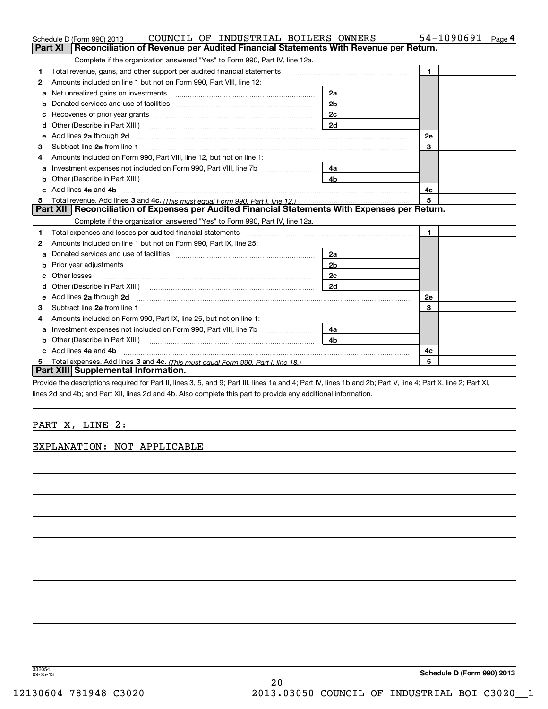|    | COUNCIL OF INDUSTRIAL BOILERS OWNERS<br>Schedule D (Form 990) 2013                                                                                                                                                                   |                | 54-1090691<br>Page 4 |
|----|--------------------------------------------------------------------------------------------------------------------------------------------------------------------------------------------------------------------------------------|----------------|----------------------|
|    | Reconciliation of Revenue per Audited Financial Statements With Revenue per Return.<br>Part XI                                                                                                                                       |                |                      |
|    | Complete if the organization answered "Yes" to Form 990, Part IV, line 12a.                                                                                                                                                          |                |                      |
| 1  | Total revenue, gains, and other support per audited financial statements                                                                                                                                                             |                | $\mathbf{1}$         |
| 2  | Amounts included on line 1 but not on Form 990, Part VIII, line 12:                                                                                                                                                                  |                |                      |
| a  |                                                                                                                                                                                                                                      | 2a             |                      |
|    |                                                                                                                                                                                                                                      | 2 <sub>b</sub> |                      |
|    |                                                                                                                                                                                                                                      | 2c             |                      |
| d  |                                                                                                                                                                                                                                      | 2d             |                      |
| е  | Add lines 2a through 2d                                                                                                                                                                                                              |                | <b>2e</b>            |
| З  | Subtract line 2e from line 1                                                                                                                                                                                                         |                | 3                    |
| 4  | Amounts included on Form 990, Part VIII, line 12, but not on line 1:                                                                                                                                                                 |                |                      |
| a  |                                                                                                                                                                                                                                      | 4a             |                      |
|    |                                                                                                                                                                                                                                      | 4 <sub>b</sub> |                      |
| c. | Add lines 4a and 4b                                                                                                                                                                                                                  |                | 4c                   |
|    |                                                                                                                                                                                                                                      |                | 5                    |
|    | Part XII Reconciliation of Expenses per Audited Financial Statements With Expenses per Return.                                                                                                                                       |                |                      |
|    | Complete if the organization answered "Yes" to Form 990, Part IV, line 12a.                                                                                                                                                          |                |                      |
| 1  | Total expenses and losses per audited financial statements [11] [12] contain an intervention and the statements [13] [13] and the statements [13] and the statements [13] and the statements and the statements and the statem       |                | $\mathbf{1}$         |
| 2  | Amounts included on line 1 but not on Form 990, Part IX, line 25:                                                                                                                                                                    |                |                      |
| а  |                                                                                                                                                                                                                                      | 2a             |                      |
| b  |                                                                                                                                                                                                                                      | 2 <sub>b</sub> |                      |
|    | Other losses                                                                                                                                                                                                                         | 2c             |                      |
| d  | Other (Describe in Part XIII.) (COLORGIAN CONTEXT) and Contract the Contract of Contract of Contract of Contract of Contract of Contract of Contract of Contract of Contract of Contract of Contract of Contract of Contract o       | 2d             |                      |
| е  | Add lines 2a through 2d <b>contained a contained a contained a contained a contained a contained a contained a contained a contact a contact a contact a contact a contact a contact a contact a contact a contact a contact a c</b> |                | <b>2e</b>            |
| з  |                                                                                                                                                                                                                                      |                | 3                    |
|    | Amounts included on Form 990, Part IX, line 25, but not on line 1:                                                                                                                                                                   |                |                      |
| a  | Investment expenses not included on Form 990, Part VIII, line 7b [100] [100] [100] [100] [100] [100] [100] [10                                                                                                                       | 4a             |                      |
| b  | Other (Describe in Part XIII.)                                                                                                                                                                                                       | 4 <sub>b</sub> |                      |
|    | Add lines 4a and 4b                                                                                                                                                                                                                  |                | 4c                   |
| 5  |                                                                                                                                                                                                                                      |                | 5                    |
|    | Part XIII Supplemental Information.                                                                                                                                                                                                  |                |                      |
|    |                                                                                                                                                                                                                                      |                |                      |

Provide the descriptions required for Part II, lines 3, 5, and 9; Part III, lines 1a and 4; Part IV, lines 1b and 2b; Part V, line 4; Part X, line 2; Part XI, lines 2d and 4b; and Part XII, lines 2d and 4b. Also complete this part to provide any additional information.

## PART X, LINE 2:

### EXPLANATION: NOT APPLICABLE

332054 09-25-13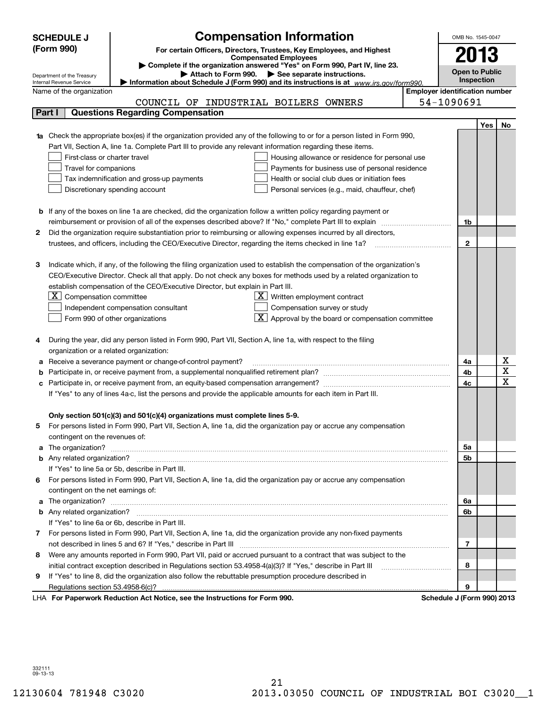|        | <b>SCHEDULE J</b>                                      | <b>Compensation Information</b>                                                                                              |                                       | OMB No. 1545-0047          |            |             |
|--------|--------------------------------------------------------|------------------------------------------------------------------------------------------------------------------------------|---------------------------------------|----------------------------|------------|-------------|
|        | (Form 990)                                             | For certain Officers, Directors, Trustees, Key Employees, and Highest                                                        |                                       |                            |            |             |
|        |                                                        | <b>Compensated Employees</b>                                                                                                 |                                       | 2013                       |            |             |
|        |                                                        | Complete if the organization answered "Yes" on Form 990, Part IV, line 23.<br>Attach to Form 990. See separate instructions. |                                       | <b>Open to Public</b>      |            |             |
|        | Department of the Treasury<br>Internal Revenue Service | Information about Schedule J (Form 990) and its instructions is at $www.irs.gov/form990$ .                                   |                                       | Inspection                 |            |             |
|        | Name of the organization                               |                                                                                                                              | <b>Employer identification number</b> |                            |            |             |
|        |                                                        | COUNCIL OF INDUSTRIAL BOILERS OWNERS                                                                                         |                                       | 54-1090691                 |            |             |
| Part I |                                                        | <b>Questions Regarding Compensation</b>                                                                                      |                                       |                            |            |             |
|        |                                                        |                                                                                                                              |                                       |                            | <b>Yes</b> | No          |
| 1a     |                                                        | Check the appropriate box(es) if the organization provided any of the following to or for a person listed in Form 990,       |                                       |                            |            |             |
|        |                                                        | Part VII, Section A, line 1a. Complete Part III to provide any relevant information regarding these items.                   |                                       |                            |            |             |
|        | First-class or charter travel                          | Housing allowance or residence for personal use                                                                              |                                       |                            |            |             |
|        | Travel for companions                                  | Payments for business use of personal residence                                                                              |                                       |                            |            |             |
|        |                                                        | Tax indemnification and gross-up payments<br>Health or social club dues or initiation fees                                   |                                       |                            |            |             |
|        |                                                        | Discretionary spending account<br>Personal services (e.g., maid, chauffeur, chef)                                            |                                       |                            |            |             |
|        |                                                        |                                                                                                                              |                                       |                            |            |             |
|        |                                                        | <b>b</b> If any of the boxes on line 1a are checked, did the organization follow a written policy regarding payment or       |                                       |                            |            |             |
|        |                                                        |                                                                                                                              |                                       | 1b                         |            |             |
| 2      |                                                        | Did the organization require substantiation prior to reimbursing or allowing expenses incurred by all directors,             |                                       |                            |            |             |
|        |                                                        | trustees, and officers, including the CEO/Executive Director, regarding the items checked in line 1a?                        |                                       | $\mathbf{2}$               |            |             |
|        |                                                        |                                                                                                                              |                                       |                            |            |             |
| З      |                                                        | Indicate which, if any, of the following the filing organization used to establish the compensation of the organization's    |                                       |                            |            |             |
|        |                                                        | CEO/Executive Director. Check all that apply. Do not check any boxes for methods used by a related organization to           |                                       |                            |            |             |
|        |                                                        | establish compensation of the CEO/Executive Director, but explain in Part III.                                               |                                       |                            |            |             |
|        | $X$ Compensation committee                             | $X$ Written employment contract                                                                                              |                                       |                            |            |             |
|        |                                                        | Compensation survey or study<br>Independent compensation consultant                                                          |                                       |                            |            |             |
|        |                                                        | $\boxed{\textbf{X}}$ Approval by the board or compensation committee<br>Form 990 of other organizations                      |                                       |                            |            |             |
|        |                                                        |                                                                                                                              |                                       |                            |            |             |
| 4      |                                                        | During the year, did any person listed in Form 990, Part VII, Section A, line 1a, with respect to the filing                 |                                       |                            |            |             |
|        | organization or a related organization:                |                                                                                                                              |                                       |                            |            |             |
| а      |                                                        | Receive a severance payment or change-of-control payment?                                                                    |                                       | 4a                         |            | х           |
| b      |                                                        |                                                                                                                              |                                       | 4b<br>4c                   |            | X           |
| с      |                                                        |                                                                                                                              |                                       |                            |            | $\mathbf X$ |
|        |                                                        | If "Yes" to any of lines 4a-c, list the persons and provide the applicable amounts for each item in Part III.                |                                       |                            |            |             |
|        |                                                        |                                                                                                                              |                                       |                            |            |             |
|        |                                                        | Only section 501(c)(3) and 501(c)(4) organizations must complete lines 5-9.                                                  |                                       |                            |            |             |
|        |                                                        | For persons listed in Form 990, Part VII, Section A, line 1a, did the organization pay or accrue any compensation            |                                       |                            |            |             |
|        | contingent on the revenues of:                         |                                                                                                                              |                                       |                            |            |             |
|        |                                                        | a The organization? <b>Constitution</b> and the organization?                                                                |                                       | 5а                         |            |             |
|        |                                                        | If "Yes" to line 5a or 5b, describe in Part III.                                                                             |                                       | 5b                         |            |             |
|        |                                                        | 6 For persons listed in Form 990, Part VII, Section A, line 1a, did the organization pay or accrue any compensation          |                                       |                            |            |             |
|        | contingent on the net earnings of:                     |                                                                                                                              |                                       |                            |            |             |
|        |                                                        |                                                                                                                              |                                       |                            |            |             |
|        |                                                        | a The organization? <b>Entitled Strategies and Strategies and Strategies</b> and The organization?                           |                                       | 6a<br>6b                   |            |             |
|        |                                                        | If "Yes" to line 6a or 6b, describe in Part III.                                                                             |                                       |                            |            |             |
|        |                                                        | 7 For persons listed in Form 990, Part VII, Section A, line 1a, did the organization provide any non-fixed payments          |                                       |                            |            |             |
|        |                                                        |                                                                                                                              |                                       | 7                          |            |             |
| 8      |                                                        | Were any amounts reported in Form 990, Part VII, paid or accrued pursuant to a contract that was subject to the              |                                       |                            |            |             |
|        |                                                        | initial contract exception described in Regulations section 53.4958-4(a)(3)? If "Yes," describe in Part III                  |                                       | 8                          |            |             |
| 9.     |                                                        | If "Yes" to line 8, did the organization also follow the rebuttable presumption procedure described in                       |                                       |                            |            |             |
|        |                                                        |                                                                                                                              |                                       | 9                          |            |             |
|        |                                                        | LHA For Paperwork Reduction Act Notice, see the Instructions for Form 990.                                                   |                                       | Schedule J (Form 990) 2013 |            |             |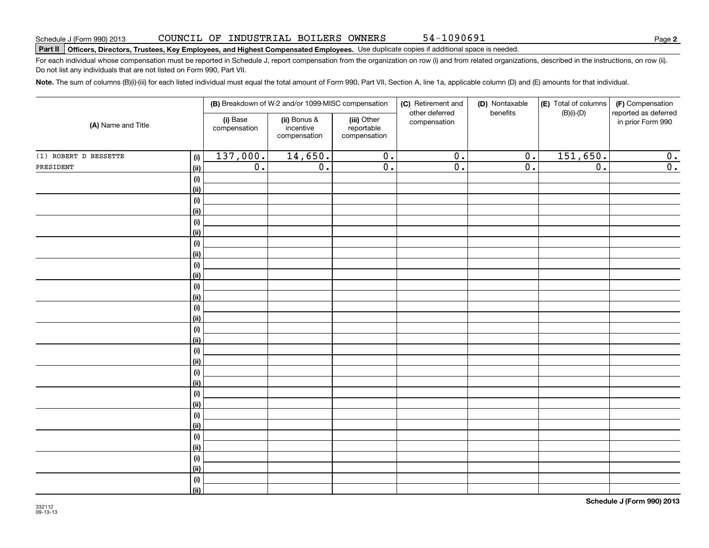**2**

# **Part II Officers, Directors, Trustees, Key Employees, and Highest Compensated Employees.**  Schedule J (Form 990) 2013 Page Use duplicate copies if additional space is needed.

For each individual whose compensation must be reported in Schedule J, report compensation from the organization on row (i) and from related organizations, described in the instructions, on row (ii). Do not list any individuals that are not listed on Form 990, Part VII.

54-1090691

**Note.**  The sum of columns (B)(i)-(iii) for each listed individual must equal the total amount of Form 990, Part VII, Section A, line 1a, applicable column (D) and (E) amounts for that individual.

|                       |                           | (B) Breakdown of W-2 and/or 1099-MISC compensation |                                           |                                           | (C) Retirement and<br>(D) Nontaxable<br>other deferred<br>benefits |                  | (E) Total of columns<br>$(B)(i)-(D)$ | (F) Compensation<br>reported as deferred |
|-----------------------|---------------------------|----------------------------------------------------|-------------------------------------------|-------------------------------------------|--------------------------------------------------------------------|------------------|--------------------------------------|------------------------------------------|
| (A) Name and Title    |                           | (i) Base<br>compensation                           | (ii) Bonus &<br>incentive<br>compensation | (iii) Other<br>reportable<br>compensation | compensation                                                       |                  |                                      | in prior Form 990                        |
| (1) ROBERT D BESSETTE | (i)                       | 137,000.                                           | 14,650.                                   | $\overline{0}$ .                          | $\overline{\mathfrak{0}}$ .                                        | $\overline{0}$ . | 151,650.                             | 0.                                       |
| PRESIDENT             | <u>(ii)</u>               | $\overline{0}$ .                                   | $\overline{0}$ .                          | $\overline{0}$ .                          | $\overline{0}$ .                                                   | $\overline{0}$ . | $\overline{\mathfrak{0}}$ .          | $\overline{0}$ .                         |
|                       | (i)                       |                                                    |                                           |                                           |                                                                    |                  |                                      |                                          |
|                       | <u>(ii)</u>               |                                                    |                                           |                                           |                                                                    |                  |                                      |                                          |
|                       | (i)                       |                                                    |                                           |                                           |                                                                    |                  |                                      |                                          |
|                       | <u>(ii)</u>               |                                                    |                                           |                                           |                                                                    |                  |                                      |                                          |
|                       | (i)                       |                                                    |                                           |                                           |                                                                    |                  |                                      |                                          |
|                       | <u>(ii)</u>               |                                                    |                                           |                                           |                                                                    |                  |                                      |                                          |
|                       | $(\sf{i})$                |                                                    |                                           |                                           |                                                                    |                  |                                      |                                          |
|                       | <u>(ii)</u>               |                                                    |                                           |                                           |                                                                    |                  |                                      |                                          |
|                       | $(\sf{i})$                |                                                    |                                           |                                           |                                                                    |                  |                                      |                                          |
|                       | <u>(ii)</u>               |                                                    |                                           |                                           |                                                                    |                  |                                      |                                          |
|                       | $(\sf{i})$                |                                                    |                                           |                                           |                                                                    |                  |                                      |                                          |
|                       | <u>(ii)</u><br>$(\sf{i})$ |                                                    |                                           |                                           |                                                                    |                  |                                      |                                          |
|                       | <u>(ii)</u>               |                                                    |                                           |                                           |                                                                    |                  |                                      |                                          |
|                       | $(\sf{i})$                |                                                    |                                           |                                           |                                                                    |                  |                                      |                                          |
|                       | <u>(ii)</u>               |                                                    |                                           |                                           |                                                                    |                  |                                      |                                          |
|                       | (i)                       |                                                    |                                           |                                           |                                                                    |                  |                                      |                                          |
|                       | <u>(ii)</u>               |                                                    |                                           |                                           |                                                                    |                  |                                      |                                          |
|                       | (i)                       |                                                    |                                           |                                           |                                                                    |                  |                                      |                                          |
|                       | <u>(ii)</u>               |                                                    |                                           |                                           |                                                                    |                  |                                      |                                          |
|                       | $(\sf{i})$                |                                                    |                                           |                                           |                                                                    |                  |                                      |                                          |
|                       | <u>(ii)</u>               |                                                    |                                           |                                           |                                                                    |                  |                                      |                                          |
|                       | $(\sf{i})$                |                                                    |                                           |                                           |                                                                    |                  |                                      |                                          |
|                       | <u>(ii)</u>               |                                                    |                                           |                                           |                                                                    |                  |                                      |                                          |
|                       | $(\sf{i})$                |                                                    |                                           |                                           |                                                                    |                  |                                      |                                          |
|                       | <u>(ii)</u>               |                                                    |                                           |                                           |                                                                    |                  |                                      |                                          |
|                       | $(\sf{i})$                |                                                    |                                           |                                           |                                                                    |                  |                                      |                                          |
|                       | <u>(ii)</u>               |                                                    |                                           |                                           |                                                                    |                  |                                      |                                          |
|                       | (i)                       |                                                    |                                           |                                           |                                                                    |                  |                                      |                                          |
|                       | $\vert$ (ii)              |                                                    |                                           |                                           |                                                                    |                  |                                      |                                          |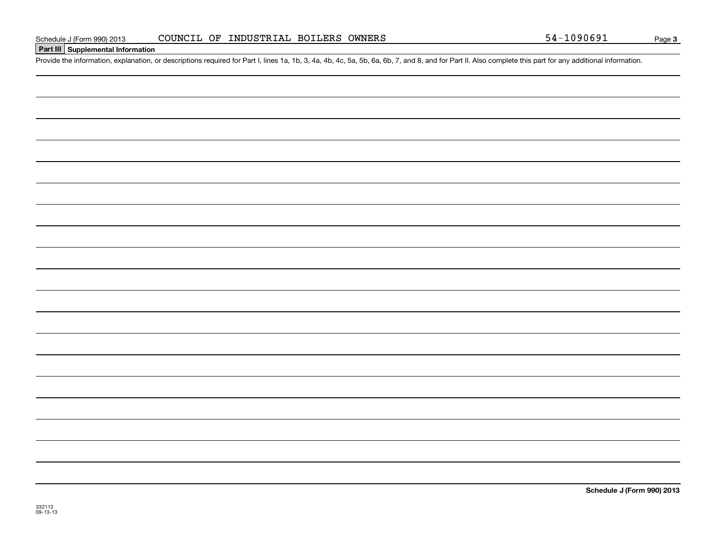### **Part III Supplemental Information**

Schedule J (Form 990) 2013 COUNCIL OF INDUSTRIAL BOILERS OWNERS 54-1090691<br>Part III Supplemental Information<br>Provide the information, explanation, or descriptions required for Part I, lines 1a, 1b, 3, 4a, 4b, 4c, 5a, 5b, 6

**Schedule J (Form 990) 2013**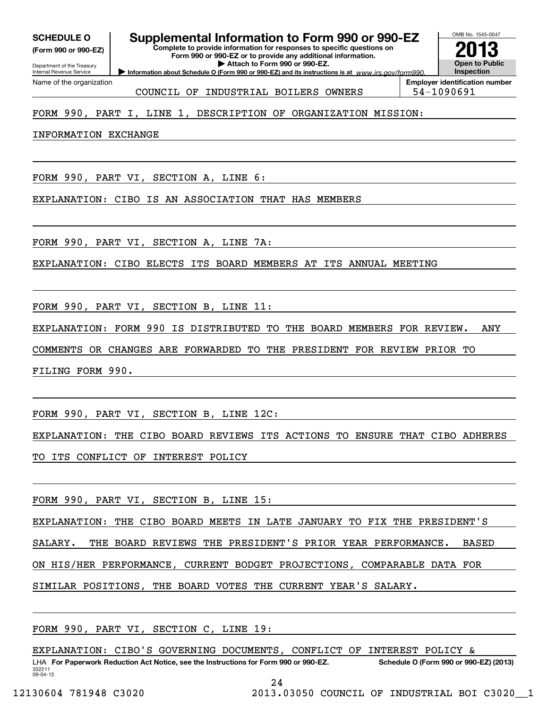**(Form 990 or 990-EZ)**

Department of the Treasury Internal Revenue Service Name of the organization

# **SCHEDULE O Supplemental Information to Form 990 or 990-EZ**

**Complete to provide information for responses to specific questions on Form 990 or 990-EZ or to provide any additional information. | Attach to Form 990 or 990-EZ.**



OMB No. 1545-0047

COUNCIL OF INDUSTRIAL BOILERS OWNERS 54-1090691

### FORM 990, PART I, LINE 1, DESCRIPTION OF ORGANIZATION MISSION:

INFORMATION EXCHANGE

FORM 990, PART VI, SECTION A, LINE 6:

EXPLANATION: CIBO IS AN ASSOCIATION THAT HAS MEMBERS

FORM 990, PART VI, SECTION A, LINE 7A:

EXPLANATION: CIBO ELECTS ITS BOARD MEMBERS AT ITS ANNUAL MEETING

FORM 990, PART VI, SECTION B, LINE 11:

EXPLANATION: FORM 990 IS DISTRIBUTED TO THE BOARD MEMBERS FOR REVIEW. ANY

COMMENTS OR CHANGES ARE FORWARDED TO THE PRESIDENT FOR REVIEW PRIOR TO

FILING FORM 990.

FORM 990, PART VI, SECTION B, LINE 12C:

EXPLANATION: THE CIBO BOARD REVIEWS ITS ACTIONS TO ENSURE THAT CIBO ADHERES

TO ITS CONFLICT OF INTEREST POLICY

FORM 990, PART VI, SECTION B, LINE 15:

EXPLANATION: THE CIBO BOARD MEETS IN LATE JANUARY TO FIX THE PRESIDENT'S

SALARY. THE BOARD REVIEWS THE PRESIDENT'S PRIOR YEAR PERFORMANCE. BASED

ON HIS/HER PERFORMANCE, CURRENT BODGET PROJECTIONS, COMPARABLE DATA FOR

SIMILAR POSITIONS, THE BOARD VOTES THE CURRENT YEAR'S SALARY.

FORM 990, PART VI, SECTION C, LINE 19:

332211 09-04-13LHA For Paperwork Reduction Act Notice, see the Instructions for Form 990 or 990-EZ. Schedule O (Form 990 or 990-EZ) (2013) EXPLANATION: CIBO'S GOVERNING DOCUMENTS, CONFLICT OF INTEREST POLICY &

24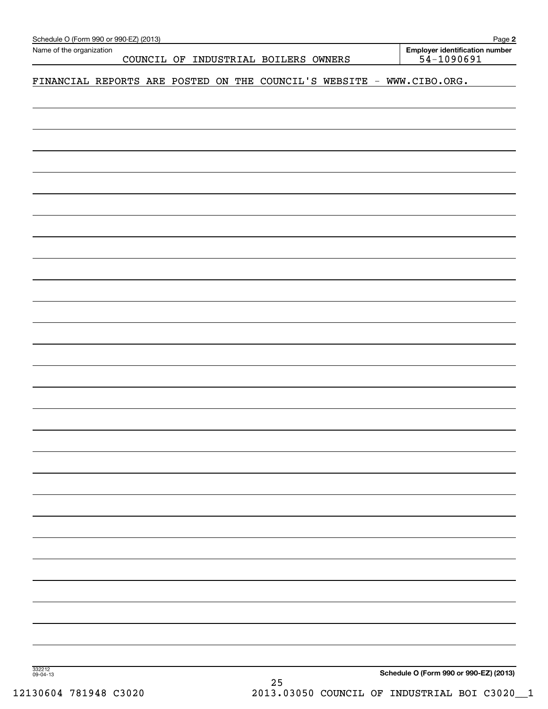| FINANCIAL REPORTS ARE POSTED ON THE COUNCIL'S WEBSITE - WWW.CIBO.ORG. |  |  |  |
|-----------------------------------------------------------------------|--|--|--|
|                                                                       |  |  |  |
|                                                                       |  |  |  |
|                                                                       |  |  |  |
|                                                                       |  |  |  |
|                                                                       |  |  |  |
|                                                                       |  |  |  |
|                                                                       |  |  |  |
|                                                                       |  |  |  |
|                                                                       |  |  |  |
|                                                                       |  |  |  |
|                                                                       |  |  |  |
|                                                                       |  |  |  |
|                                                                       |  |  |  |
|                                                                       |  |  |  |
|                                                                       |  |  |  |
|                                                                       |  |  |  |
|                                                                       |  |  |  |
|                                                                       |  |  |  |
|                                                                       |  |  |  |
|                                                                       |  |  |  |
|                                                                       |  |  |  |
|                                                                       |  |  |  |
|                                                                       |  |  |  |
|                                                                       |  |  |  |
|                                                                       |  |  |  |
|                                                                       |  |  |  |
|                                                                       |  |  |  |
|                                                                       |  |  |  |